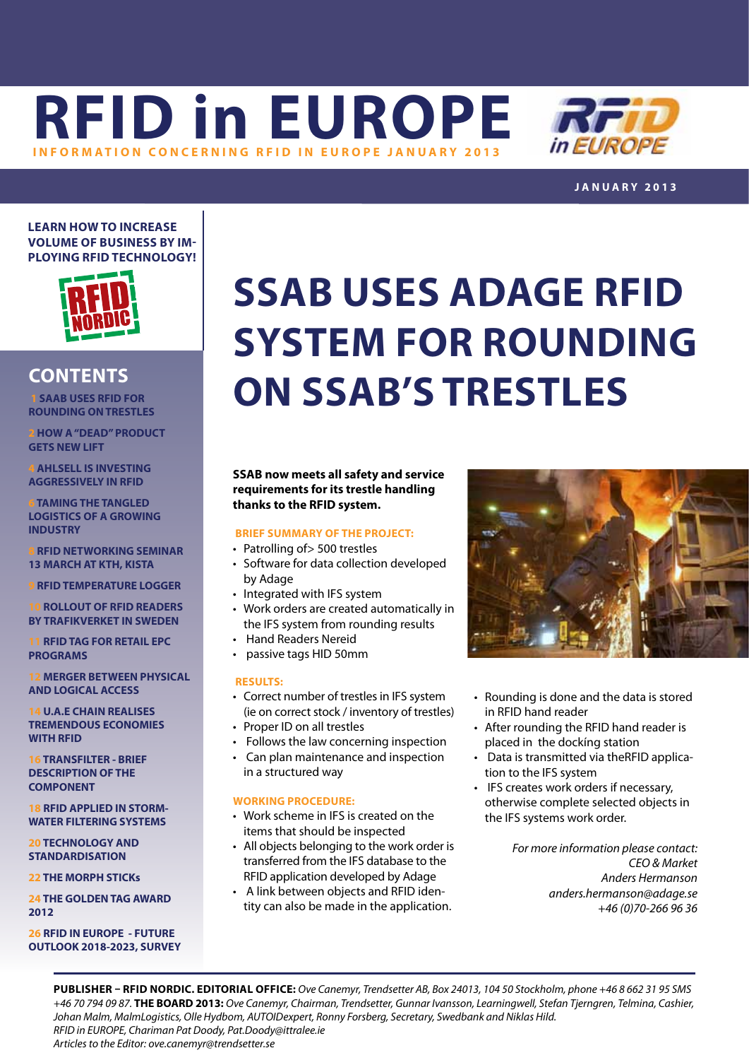**[RFID in EUROPE](http://www.rfidineurope.eu) INFORMATION CONCERNING RFID IN EUROPE JANUARY** 



**j anuar y 2013**

**Learn how to increase volume of business by imploying RFID technology!**



### **contents**

 **1 SAAB USES RFID FOR ROUNDING ON TRESTLES**

**[2](#page-1-0) HOW A "DEAD" PRODUCT GETS NEW LIFT**

**[4](#page-3-0) AHLSELL IS INVESTING AGGRESSIVELY IN RFID**

**[6](#page-5-0) TAMING THE TANGLED LOGISTICS OF A GROWING INDUSTRY**

**8RFID NETWORKING SEMINAR 13 MARCH AT KTH, KISTA**

**[9](#page-8-0) RFID TEMPERATURE LOGGER**

**[10](#page-9-0) ROLLOUT OF RFID READERS BY TRAFIKVERKET IN SWEDEN**

**[11](#page-10-0) RFID TAG FOR RETAIL EPC PROGRAMS**

**[12](#page-11-0) MERGER BETWEEN PHYSICAL AND LOGICAL ACCESS**

**14 U.A.E CHAIN REALISES TREMENDOUS ECONOMIES WITH RFID**

**16TRANSFILTER - BRIEF DESCRIPTION OF THE COMPONENT** 

**[18](#page-17-0) RFID APPLIED IN STORM-WATER FILTERING SYSTEMS**

**20TECHNOLOGY AND STANDARDISATION**

**2[2](#page-21-0) THE MORPH STICKs**

**24 THE GOLDEN TAG AWARD 2012**

**26 RFID IN EUROPE - FUTURE OUTLOOK 2018-2023, SURVEY**

## **SSAB uses Adage RFID system for rounding on SSAB's trestles**

**SSAB now meets all safety and service requirements for its trestle handling thanks to the RFID system.**

### **Brief Summary of the project:**

- Patrolling of > 500 trestles
- Software for data collection developed by Adage
- Integrated with IFS system
- • Work orders are created automatically in the IFS system from rounding results
- • Hand Readers Nereid
- • passive tags HID 50mm

### **Results:**

- Correct number of trestles in IFS system (ie on correct stock / inventory of trestles)
- Proper ID on all trestles
- • Follows the law concerning inspection
- • Can plan maintenance and inspection in a structured way

### **Working procedure:**

- Work scheme in IFS is created on the items that should be inspected
- All objects belonging to the work order is transferred from the IFS database to the RFID application developed by Adage
- • A link between objects and RFID identity can also be made in the application.



- Rounding is done and the data is stored in RFID hand reader
- After rounding the RFID hand reader is placed in the dockíng station
- Data is transmitted via theRFID application to the IFS system
- • IFS creates work orders if necessary, otherwise complete selected objects in the IFS systems work order.

*For more information please contact: CEO & Market Anders Hermanson [anders.hermanson@adage.se](mailto:anders.hermanson@adage.se) +46 (0)70-266 96 36*

**PUBLISHER – RFID NORDIC. EDITORIAL OFFICE:** *Ove Canemyr, Trendsetter AB, Box 24013, 104 50 Stockholm, phone +46 8 662 31 95 SMS +46 70 794 09 87.* **THE BOARD 2013:** *Ove Canemyr, Chairman, Trendsetter, Gunnar Ivansson, Learningwell, Stefan Tjerngren, Telmina, Cashier, Johan Malm, MalmLogistics, Olle Hydbom, AUTOIDexpert, Ronny Forsberg, Secretary, Swedbank and Niklas Hild. RFID in EUROPE, Chariman Pat Doody, [Pat.Doody@ittralee.ie](mailto:pat.doody@ittralee.ie ) Articles to the Editor: ove.canemyr@trendsetter.se*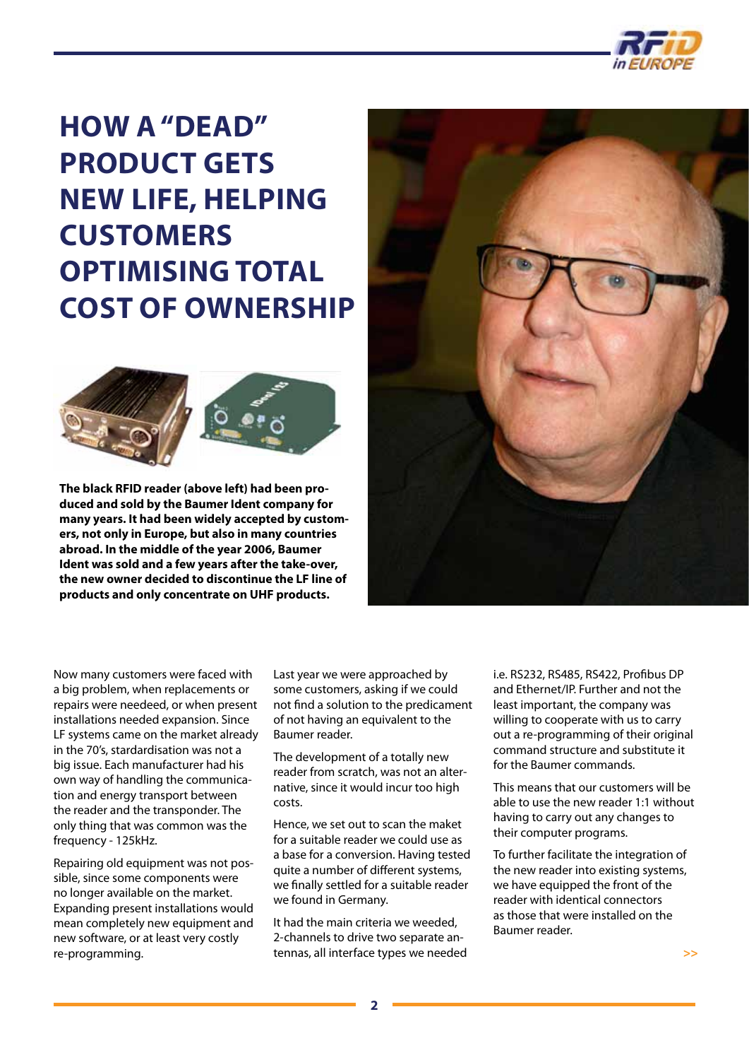

### <span id="page-1-0"></span>**How a "dead" product gets new life, helping customers optimising Total Cost of Ownership**



**The black RFID reader (above left) had been produced and sold by the Baumer Ident company for many years. It had been widely accepted by customers, not only in Europe, but also in many countries abroad. In the middle of the year 2006, Baumer Ident was sold and a few years after the take-over, the new owner decided to discontinue the LF line of products and only concentrate on UHF products.**



Now many customers were faced with a big problem, when replacements or repairs were needeed, or when present installations needed expansion. Since LF systems came on the market already in the 70's, stardardisation was not a big issue. Each manufacturer had his own way of handling the communication and energy transport between the reader and the transponder. The only thing that was common was the frequency - 125kHz.

Repairing old equipment was not possible, since some components were no longer available on the market. Expanding present installations would mean completely new equipment and new software, or at least very costly re-programming.

Last year we were approached by some customers, asking if we could not find a solution to the predicament of not having an equivalent to the Baumer reader.

The development of a totally new reader from scratch, was not an alternative, since it would incur too high costs.

Hence, we set out to scan the maket for a suitable reader we could use as a base for a conversion. Having tested quite a number of different systems, we finally settled for a suitable reader we found in Germany.

It had the main criteria we weeded, 2-channels to drive two separate antennas, all interface types we needed

i.e. RS232, RS485, RS422, Profibus DP and Ethernet/IP. Further and not the least important, the company was willing to cooperate with us to carry out a re-programming of their original command structure and substitute it for the Baumer commands.

This means that our customers will be able to use the new reader 1:1 without having to carry out any changes to their computer programs.

To further facilitate the integration of the new reader into existing systems, we have equipped the front of the reader with identical connectors as those that were installed on the Baumer reader.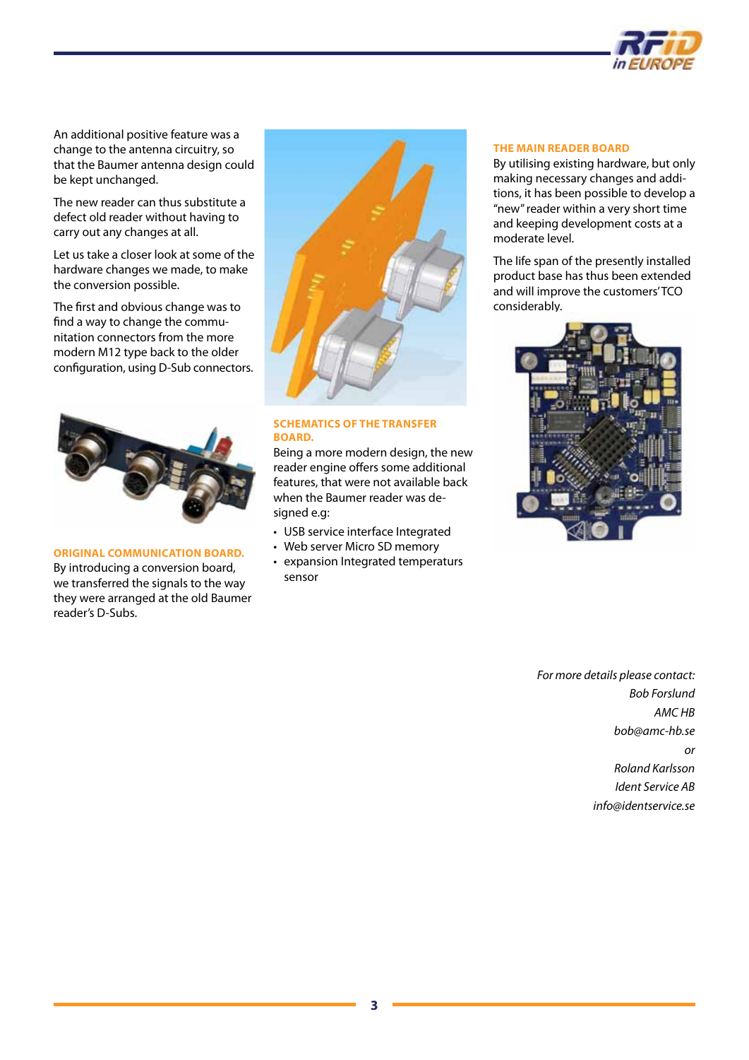

An additional positive feature was a change to the antenna circuitry, so that the Baumer antenna design could be kept unchanged.

The new reader can thus substitute a defect old reader without having to carry out any changes at all.

Let us take a closer look at some of the hardware changes we made, to make the conversion possible.

The first and obvious change was to find a way to change the communitation connectors from the more modern M12 type back to the older configuration, using D-Sub connectors.



### **Original communication board.**

By introducing a conversion board, we transferred the signals to the way they were arranged at the old Baumer reader's D-Subs.



### **Schematics of the transfer board.**

Being a more modern design, the new reader engine offers some additional features, that were not available back when the Baumer reader was designed e.g:

- USB service interface Integrated
- Web server Micro SD memory
- • expansion Integrated temperaturs sensor

### **The main reader board**

By utilising existing hardware, but only making necessary changes and additions, it has been possible to develop a "new" reader within a very short time and keeping development costs at a moderate level.

The life span of the presently installed product base has thus been extended and will improve the customers' TCO considerably.



*For more details please contact: Bob Forslund AMC HB [bob@amc-hb.se](mailto:bob@amc-hb.se) or Roland Karlsson Ident Service AB [info@identservice.s](mailto:info@identservice.s)e*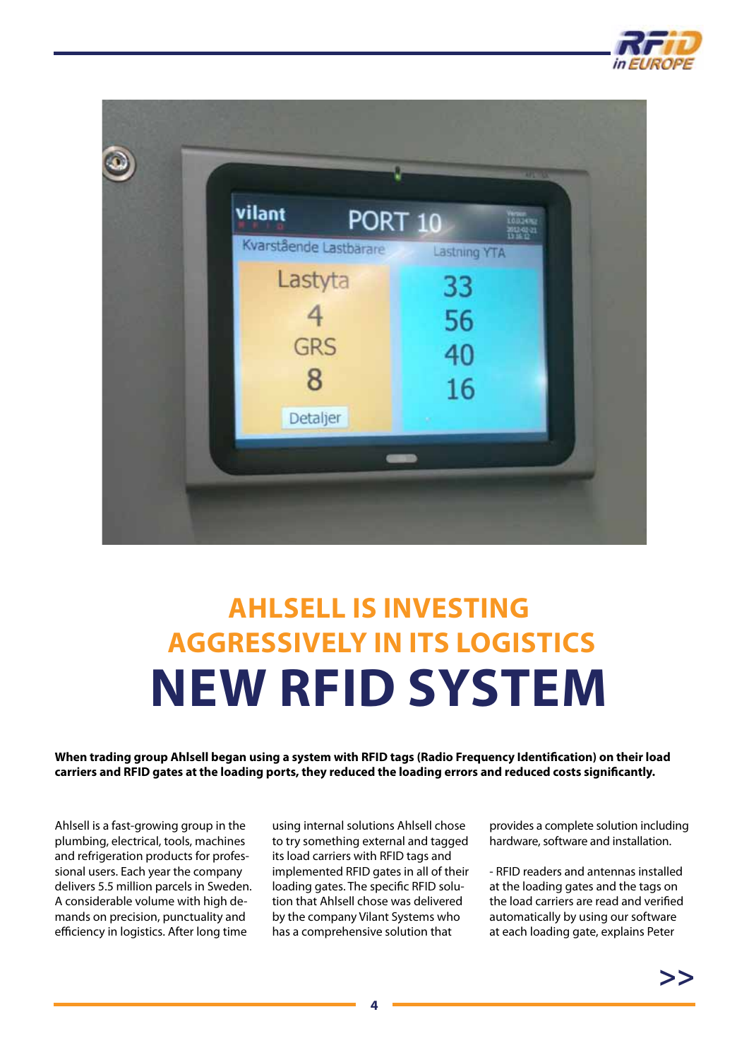

<span id="page-3-0"></span>

## **Ahlsell is investing aggressively in its logistics new RFID system**

**When trading group Ahlsell began using a system with RFID tags (Radio Frequency Identification) on their load carriers and RFID gates at the loading ports, they reduced the loading errors and reduced costs significantly.**

Ahlsell is a fast-growing group in the plumbing, electrical, tools, machines and refrigeration products for professional users. Each year the company delivers 5.5 million parcels in Sweden. A considerable volume with high demands on precision, punctuality and efficiency in logistics. After long time

using internal solutions Ahlsell chose to try something external and tagged its load carriers with RFID tags and implemented RFID gates in all of their loading gates. The specific RFID solution that Ahlsell chose was delivered by the company Vilant Systems who has a comprehensive solution that

provides a complete solution including hardware, software and installation.

- RFID readers and antennas installed at the loading gates and the tags on the load carriers are read and verified automatically by using our software at each loading gate, explains Peter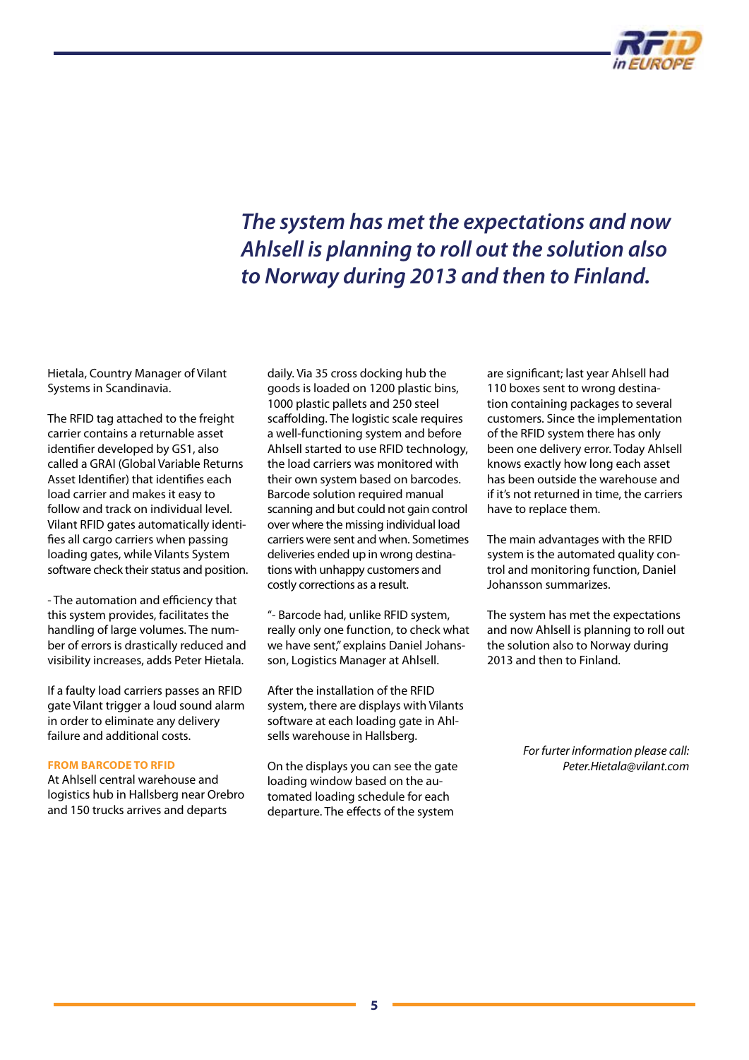

### *The system has met the expectations and now Ahlsell is planning to roll out the solution also to Norway during 2013 and then to Finland.*

Hietala, Country Manager of Vilant Systems in Scandinavia.

The RFID tag attached to the freight carrier contains a returnable asset identifier developed by GS1, also called a GRAI (Global Variable Returns Asset Identifier) that identifies each load carrier and makes it easy to follow and track on individual level. Vilant RFID gates automatically identifies all cargo carriers when passing loading gates, while Vilants System software check their status and position.

- The automation and efficiency that this system provides, facilitates the handling of large volumes. The number of errors is drastically reduced and visibility increases, adds Peter Hietala.

If a faulty load carriers passes an RFID gate Vilant trigger a loud sound alarm in order to eliminate any delivery failure and additional costs.

#### **From barcode to RFID**

At Ahlsell central warehouse and logistics hub in Hallsberg near Orebro and 150 trucks arrives and departs

daily. Via 35 cross docking hub the goods is loaded on 1200 plastic bins, 1000 plastic pallets and 250 steel scaffolding. The logistic scale requires a well-functioning system and before Ahlsell started to use RFID technology, the load carriers was monitored with their own system based on barcodes. Barcode solution required manual scanning and but could not gain control over where the missing individual load carriers were sent and when. Sometimes deliveries ended up in wrong destinations with unhappy customers and costly corrections as a result.

"- Barcode had, unlike RFID system, really only one function, to check what we have sent," explains Daniel Johansson, Logistics Manager at Ahlsell.

After the installation of the RFID system, there are displays with Vilants software at each loading gate in Ahlsells warehouse in Hallsberg.

On the displays you can see the gate loading window based on the automated loading schedule for each departure. The effects of the system

are significant; last year Ahlsell had 110 boxes sent to wrong destination containing packages to several customers. Since the implementation of the RFID system there has only been one delivery error. Today Ahlsell knows exactly how long each asset has been outside the warehouse and if it's not returned in time, the carriers have to replace them.

The main advantages with the RFID system is the automated quality control and monitoring function, Daniel Johansson summarizes.

The system has met the expectations and now Ahlsell is planning to roll out the solution also to Norway during 2013 and then to Finland.

> *For furter information please call: [Peter.Hietala@vilant.com](mailto:peter.hietala@vilant.com)*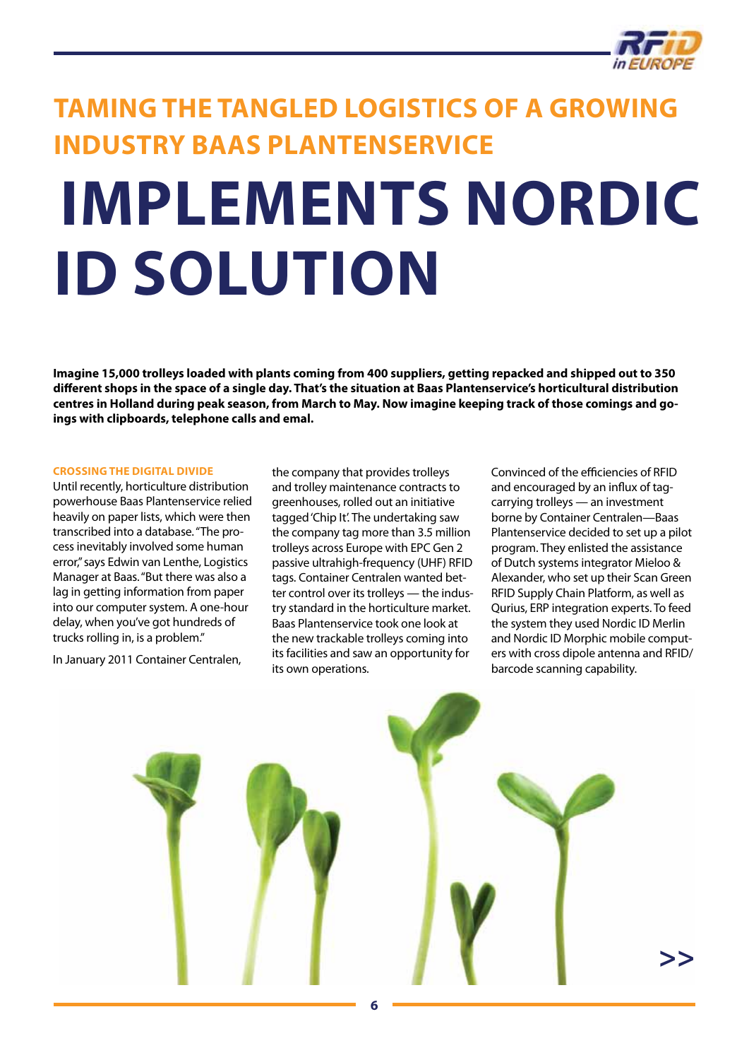

### <span id="page-5-0"></span>**TAMING THE TANGLED LOGISTICS OF A GROWING INDUSTRY Baas Plantenservice**

# **implements Nordic ID solution**

**Imagine 15,000 trolleys loaded with plants coming from 400 suppliers, getting repacked and shipped out to 350 different shops in the space of a single day. That's the situation at Baas Plantenservice's horticultural distribution centres in Holland during peak season, from March to May. Now imagine keeping track of those comings and goings with clipboards, telephone calls and emal.** 

#### **CROSSING THE DIGITAL DIVIDE**

Until recently, horticulture distribution powerhouse Baas Plantenservice relied heavily on paper lists, which were then transcribed into a database. "The process inevitably involved some human error," says Edwin van Lenthe, Logistics Manager at Baas. "But there was also a lag in getting information from paper into our computer system. A one-hour delay, when you've got hundreds of trucks rolling in, is a problem."

In January 2011 Container Centralen,

the company that provides trolleys and trolley maintenance contracts to greenhouses, rolled out an initiative tagged 'Chip It'. The undertaking saw the company tag more than 3.5 million trolleys across Europe with EPC Gen 2 passive ultrahigh-frequency (UHF) RFID tags. Container Centralen wanted better control over its trolleys — the industry standard in the horticulture market. Baas Plantenservice took one look at the new trackable trolleys coming into its facilities and saw an opportunity for its own operations.

Convinced of the efficiencies of RFID and encouraged by an influx of tagcarrying trolleys — an investment borne by Container Centralen—Baas Plantenservice decided to set up a pilot program. They enlisted the assistance of Dutch systems integrator Mieloo & Alexander, who set up their Scan Green RFID Supply Chain Platform, as well as Qurius, ERP integration experts. To feed the system they used Nordic ID Merlin and Nordic ID Morphic mobile computers with cross dipole antenna and RFID/ barcode scanning capability.

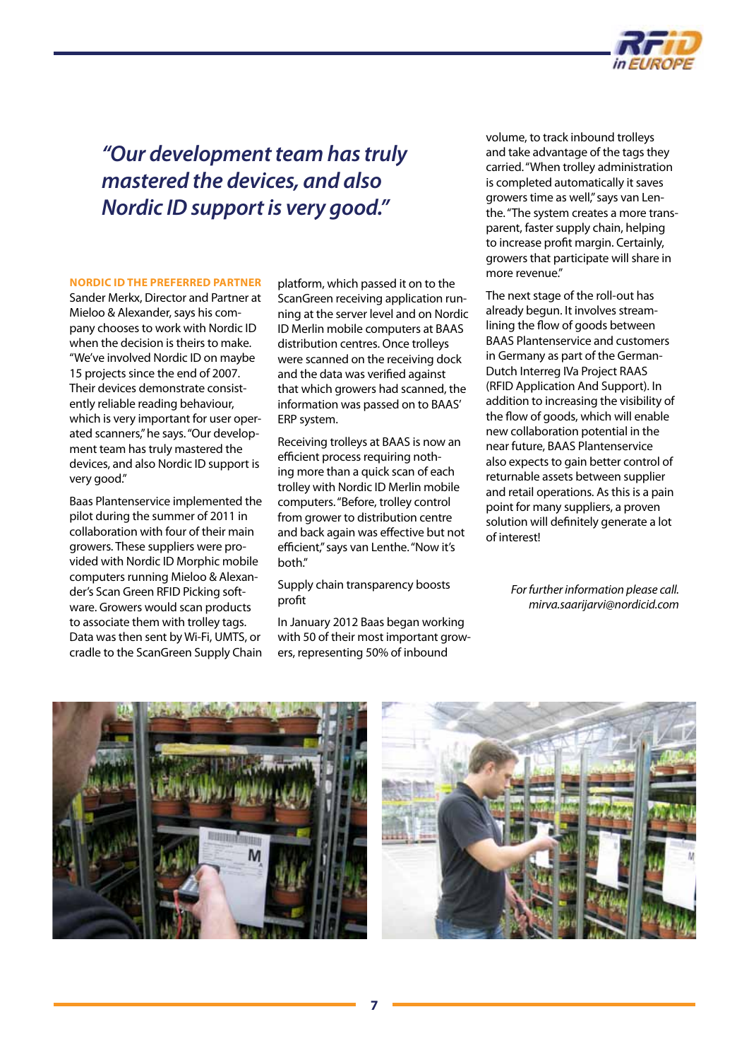

### *"Our development team has truly mastered the devices, and also Nordic ID support is very good."*

### **NORDIC ID THE PREFERRED PARTNER**

Sander Merkx, Director and Partner at Mieloo & Alexander, says his company chooses to work with Nordic ID when the decision is theirs to make. "We've involved Nordic ID on maybe 15 projects since the end of 2007. Their devices demonstrate consistently reliable reading behaviour, which is very important for user operated scanners," he says. "Our development team has truly mastered the devices, and also Nordic ID support is very good."

Baas Plantenservice implemented the pilot during the summer of 2011 in collaboration with four of their main growers. These suppliers were provided with Nordic ID Morphic mobile computers running Mieloo & Alexander's Scan Green RFID Picking software. Growers would scan products to associate them with trolley tags. Data was then sent by Wi-Fi, UMTS, or cradle to the ScanGreen Supply Chain

platform, which passed it on to the ScanGreen receiving application running at the server level and on Nordic ID Merlin mobile computers at BAAS distribution centres. Once trolleys were scanned on the receiving dock and the data was verified against that which growers had scanned, the information was passed on to BAAS' ERP system.

Receiving trolleys at BAAS is now an efficient process requiring nothing more than a quick scan of each trolley with Nordic ID Merlin mobile computers. "Before, trolley control from grower to distribution centre and back again was effective but not efficient," says van Lenthe. "Now it's both."

Supply chain transparency boosts profit

In January 2012 Baas began working with 50 of their most important growers, representing 50% of inbound

volume, to track inbound trolleys and take advantage of the tags they carried. "When trolley administration is completed automatically it saves growers time as well," says van Lenthe. "The system creates a more transparent, faster supply chain, helping to increase profit margin. Certainly, growers that participate will share in more revenue."

The next stage of the roll-out has already begun. It involves streamlining the flow of goods between BAAS Plantenservice and customers in Germany as part of the German-Dutch Interreg IVa Project RAAS (RFID Application And Support). In addition to increasing the visibility of the flow of goods, which will enable new collaboration potential in the near future, BAAS Plantenservice also expects to gain better control of returnable assets between supplier and retail operations. As this is a pain point for many suppliers, a proven solution will definitely generate a lot of interest!

> *For further information please call. [mirva.saarijarvi@nordicid.com](mailto:mirva.saarijarvi@nordicid.com)*



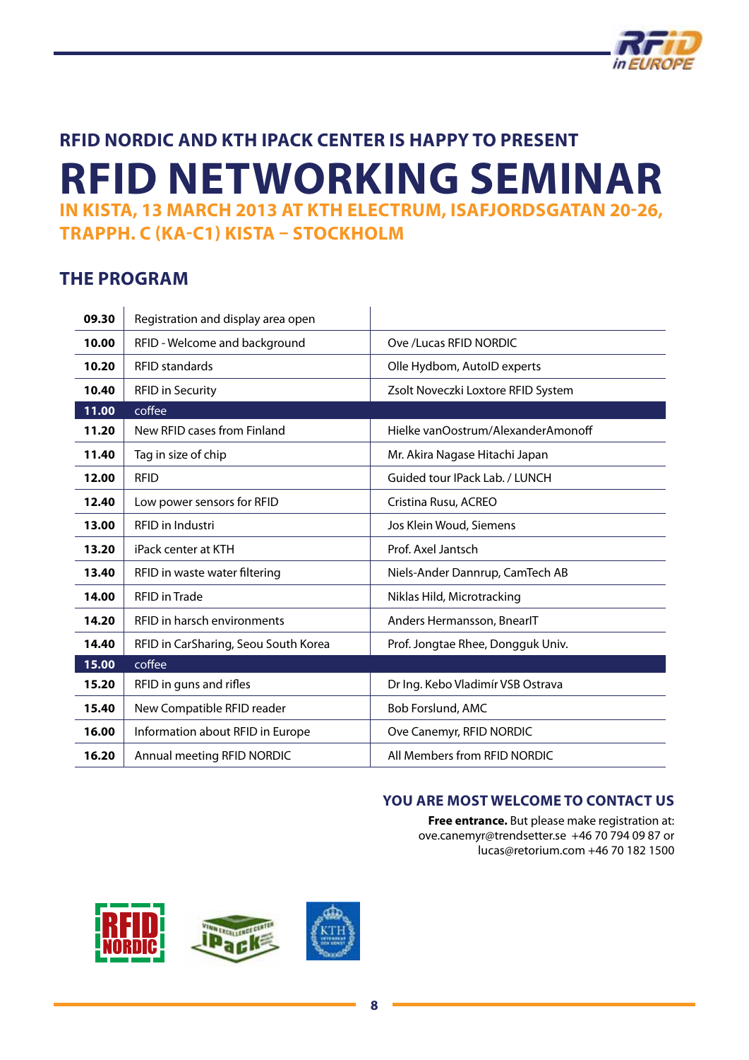

### <span id="page-7-0"></span>**RFID Nordic and KTH iPack Center is happy to present RFID Networking Seminar in Kista, 13 March 2013 at KTH Electrum, Isafjordsgatan 20-26, Trapph. C (Ka-C1) Kista – Stockholm**

### **The Program**

| 09.30 | Registration and display area open   |                                    |
|-------|--------------------------------------|------------------------------------|
| 10.00 | RFID - Welcome and background        | Ove /Lucas RFID NORDIC             |
| 10.20 | <b>RFID standards</b>                | Olle Hydbom, AutoID experts        |
| 10.40 | <b>RFID in Security</b>              | Zsolt Noveczki Loxtore RFID System |
| 11.00 | coffee                               |                                    |
| 11.20 | New RFID cases from Finland          | Hielke vanOostrum/AlexanderAmonoff |
| 11.40 | Tag in size of chip                  | Mr. Akira Nagase Hitachi Japan     |
| 12.00 | <b>RFID</b>                          | Guided tour IPack Lab. / LUNCH     |
| 12.40 | Low power sensors for RFID           | Cristina Rusu, ACREO               |
| 13.00 | RFID in Industri                     | Jos Klein Woud, Siemens            |
| 13.20 | iPack center at KTH                  | Prof. Axel Jantsch                 |
| 13.40 | RFID in waste water filtering        | Niels-Ander Dannrup, CamTech AB    |
| 14.00 | <b>RFID</b> in Trade                 | Niklas Hild, Microtracking         |
| 14.20 | RFID in harsch environments          | Anders Hermansson, BnearlT         |
| 14.40 | RFID in CarSharing, Seou South Korea | Prof. Jongtae Rhee, Dongguk Univ.  |
| 15.00 | coffee                               |                                    |
| 15.20 | RFID in guns and rifles              | Dr Ing. Kebo Vladimír VSB Ostrava  |
| 15.40 | New Compatible RFID reader           | Bob Forslund, AMC                  |
| 16.00 | Information about RFID in Europe     | Ove Canemyr, RFID NORDIC           |
| 16.20 | Annual meeting RFID NORDIC           | All Members from RFID NORDIC       |

### **You are most welcome to contact us**

**Free entrance.** But please make registration at: [ove.canemyr@trendsetter.se](mailto:ove.canemyr@trendsetter.se) +46 70 794 09 87 or [lucas@retorium.com](mailto:lucas@retorium.com ) +46 70 182 1500

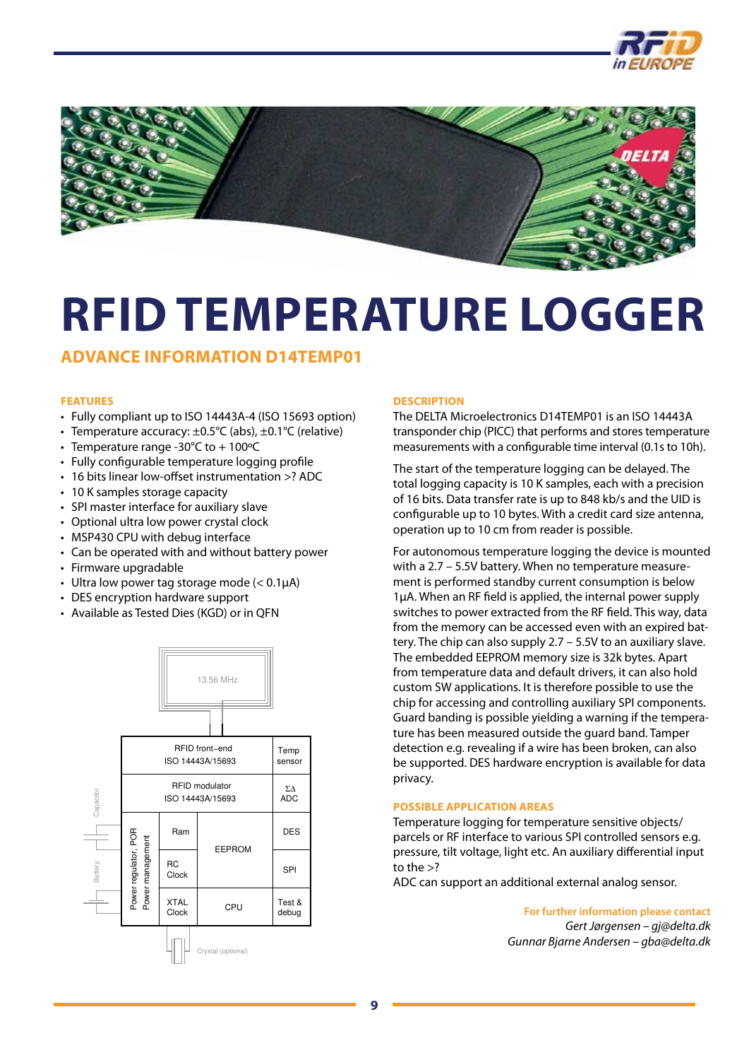

<span id="page-8-0"></span>

### **RFID TEMPERATURE LO** II) ILMO

### **Advance Information D14TEMP01**

#### **Features**  $P = \frac{1}{2}$

- • Fully compliant up to ISO 14443A-4 (ISO 15693 option)  $\mathcal{L}$
- Temperature accuracy:  $\pm$ 0.5°C (abs),  $\pm$ 0.1°C (relative)  $y$  comp  $\mu$  perature accuracy.  $\pm 0.5 \leq (avg)/20.1 \leq 0.1$
- Temperature range -30°C to + 100°C
- $\bm{\cdot}\;$  Fully configurable temperature logging profile
- • 16 bits linear low-offset instrumentation >? ADC
- • 10 K samples storage capacity
- • SPI master interface for auxiliary slave
- • Optional ultra low power crystal clock
- • MSP430 CPU with debug interface
- • Can be operated with and without battery power
- • Firmware upgradable
- Ultra low power tag storage mode ( $< 0.1 \mu$ A)
- DES encryption hardware support
- Available as Tested Dies (KGD) or in QFN  $H = H \times T$  $m$  able as rested bies  $(n\omega b)$  or  $m$



### **Description**

The DELTA Microelectronics D14TEMP01 is an ISO 14443A transponder chip (PICC) that performs and stores temperature measurements with a configurable time interval (0.1s to 10h).

The start of the temperature logging can be delayed. The total logging capacity is 10 K samples, each with a precision of 16 bits. Data transfer rate is up to 848 kb/s and the UID is configurable up to 10 bytes. With a credit card size antenna, operation up to 10 cm from reader is possible. operation up to 10 emm

For autonomous temperature logging the device is mounted with a 2.7 – 5.5V battery. When no temperature measure ment is performed standby current consumption is below 1μA. When an RF field is applied, the internal power supply switches to power extracted from the RF field. This way, data from the memory can be accessed even with an expired bat tery. The chip can also supply 2.7 – 5.5V to an auxiliary slave. The embedded EEPROM memory size is 32k bytes. Apart from temperature data and default drivers, it can also hold custom SW applications. It is therefore possible to use the chip for accessing and controlling auxiliary SPI components. Guard banding is possible yielding a warning if the tempera ture has been measured outside the guard band. Tamper detection e.g. revealing if a wire has been broken, can also be supported. DES hardware encryption is available for data privacy.  $\sigma$  autonomous temperature logging the device i custom SW applications. It is therefore possible t be supported. DES hardware encryption is availa  $rac{1}{2}$   $\epsilon$  and  $\epsilon$  and  $\epsilon$  and  $\epsilon$  and  $\epsilon$  and  $\epsilon$  and  $\epsilon$  and  $\epsilon$  and  $\epsilon$  and  $\epsilon$  and  $\epsilon$  and  $\epsilon$  and  $\epsilon$  and  $\epsilon$  and  $\epsilon$  and  $\epsilon$  and  $\epsilon$  and  $\epsilon$  and  $\epsilon$  and  $\epsilon$  and  $\epsilon$  and  $\epsilon$  and  $\epsilon$  and  $\epsilon$  and  $\epsilon$   $\frac{1}{2}$  $\frac{1}{2}$ 

### **Possible application areas**

Temperature logging for temperature sensitive objects/ parcels or RF interface to various SPI controlled sensors e.g. pressure, tilt voltage, light etc. An auxiliary differential input to the  $>$ ?

ADC can support an additional external analog sensor. ADC can support an

> **For further information please contact** *Gert Jørgensen – [gj@delta.dk](mailto:gj@delta.dk) Gunnar Bjarne Andersen – [gba@delta.dk](mailto:gba@delta.dk)*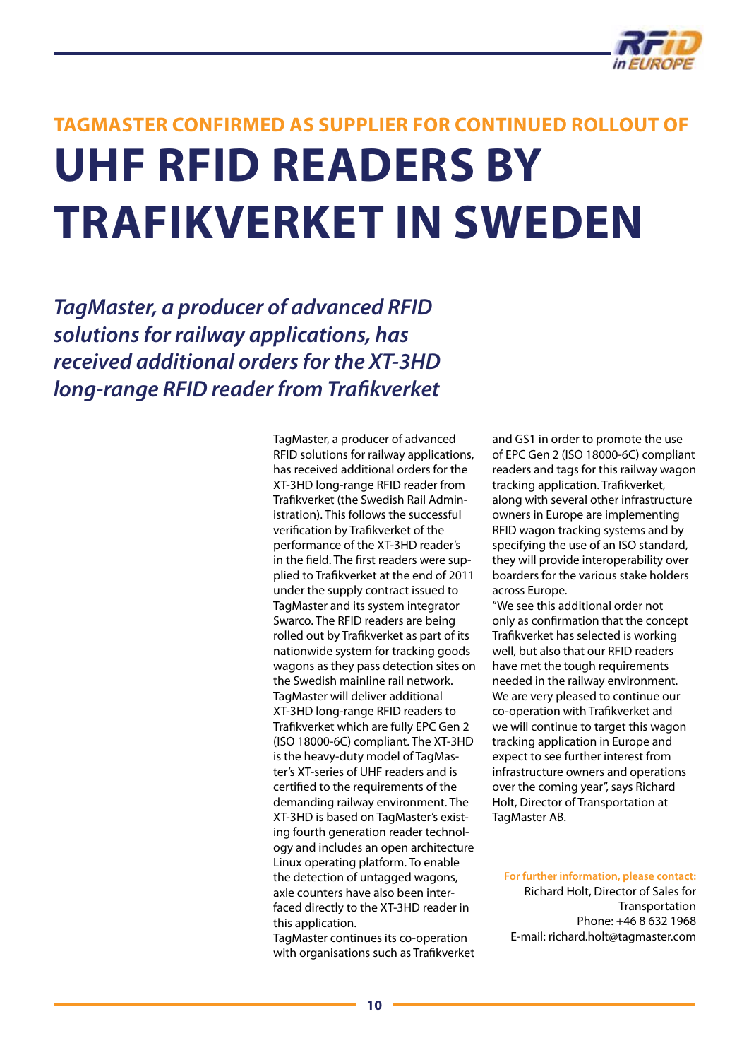

## <span id="page-9-0"></span>**TagMaster Confirmed as Supplier for Continued Rollout of UHF RFID Readers by Trafikverket in Sweden**

*TagMaster, a producer of advanced RFID solutions for railway applications, has received additional orders for the XT-3HD long-range RFID reader from Trafikverket*

> TagMaster, a producer of advanced RFID solutions for railway applications, has received additional orders for the XT-3HD long-range RFID reader from Trafikverket (the Swedish Rail Administration). This follows the successful verification by Trafikverket of the performance of the XT-3HD reader's in the field. The first readers were supplied to Trafikverket at the end of 2011 under the supply contract issued to TagMaster and its system integrator Swarco. The RFID readers are being rolled out by Trafikverket as part of its nationwide system for tracking goods wagons as they pass detection sites on the Swedish mainline rail network. TagMaster will deliver additional XT-3HD long-range RFID readers to Trafikverket which are fully EPC Gen 2 (ISO 18000-6C) compliant. The XT-3HD is the heavy-duty model of TagMaster's XT-series of UHF readers and is certified to the requirements of the demanding railway environment. The XT-3HD is based on TagMaster's existing fourth generation reader technology and includes an open architecture Linux operating platform. To enable the detection of untagged wagons, axle counters have also been interfaced directly to the XT-3HD reader in this application.

> TagMaster continues its co-operation with organisations such as Trafikverket

and GS1 in order to promote the use of EPC Gen 2 (ISO 18000-6C) compliant readers and tags for this railway wagon tracking application. Trafikverket, along with several other infrastructure owners in Europe are implementing RFID wagon tracking systems and by specifying the use of an ISO standard, they will provide interoperability over boarders for the various stake holders across Europe.

"We see this additional order not only as confirmation that the concept Trafikverket has selected is working well, but also that our RFID readers have met the tough requirements needed in the railway environment. We are very pleased to continue our co-operation with Trafikverket and we will continue to target this wagon tracking application in Europe and expect to see further interest from infrastructure owners and operations over the coming year", says Richard Holt, Director of Transportation at TagMaster AB.

**For further information, please contact:**  Richard Holt, Director of Sales for Transportation Phone: +46 8 632 1968 E-mail: [richard.holt@tagmaster.com](mailto:richard.holt@tagmaster.com)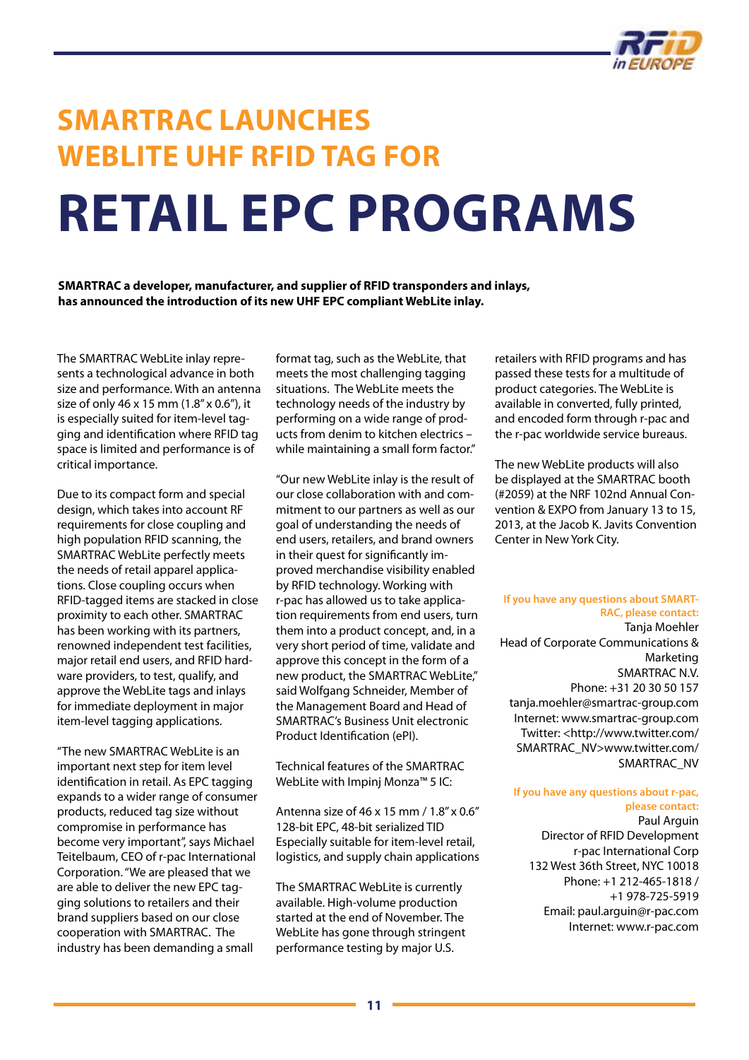

## <span id="page-10-0"></span>**SMARTRAC Launches WebLite UHF RFID Tag for Retail EPC Programs**

**SMARTRAC a developer, manufacturer, and supplier of RFID transponders and inlays, has announced the introduction of its new UHF EPC compliant WebLite inlay.**

The SMARTRAC WebLite inlay represents a technological advance in both size and performance. With an antenna size of only 46 x 15 mm (1.8" x 0.6"), it is especially suited for item-level tagging and identification where RFID tag space is limited and performance is of critical importance.

Due to its compact form and special design, which takes into account RF requirements for close coupling and high population RFID scanning, the SMARTRAC WebLite perfectly meets the needs of retail apparel applications. Close coupling occurs when RFID-tagged items are stacked in close proximity to each other. SMARTRAC has been working with its partners, renowned independent test facilities, major retail end users, and RFID hardware providers, to test, qualify, and approve the WebLite tags and inlays for immediate deployment in major item-level tagging applications.

"The new SMARTRAC WebLite is an important next step for item level identification in retail. As EPC tagging expands to a wider range of consumer products, reduced tag size without compromise in performance has become very important", says Michael Teitelbaum, CEO of r-pac International Corporation. "We are pleased that we are able to deliver the new EPC tagging solutions to retailers and their brand suppliers based on our close cooperation with SMARTRAC. The industry has been demanding a small

format tag, such as the WebLite, that meets the most challenging tagging situations. The WebLite meets the technology needs of the industry by performing on a wide range of products from denim to kitchen electrics – while maintaining a small form factor."

"Our new WebLite inlay is the result of our close collaboration with and commitment to our partners as well as our goal of understanding the needs of end users, retailers, and brand owners in their quest for significantly improved merchandise visibility enabled by RFID technology. Working with r-pac has allowed us to take application requirements from end users, turn them into a product concept, and, in a very short period of time, validate and approve this concept in the form of a new product, the SMARTRAC WebLite," said Wolfgang Schneider, Member of the Management Board and Head of SMARTRAC's Business Unit electronic Product Identification (ePI).

Technical features of the SMARTRAC WebLite with Impinj Monza™ 5 IC:

Antenna size of 46 x 15 mm / 1.8" x 0.6" 128-bit EPC, 48-bit serialized TID Especially suitable for item-level retail, logistics, and supply chain applications

The SMARTRAC WebLite is currently available. High-volume production started at the end of November. The WebLite has gone through stringent performance testing by major U.S.

retailers with RFID programs and has passed these tests for a multitude of product categories. The WebLite is available in converted, fully printed, and encoded form through r-pac and the r-pac worldwide service bureaus.

The new WebLite products will also be displayed at the SMARTRAC booth (#2059) at the NRF 102nd Annual Convention & EXPO from January 13 to 15, 2013, at the Jacob K. Javits Convention Center in New York City.

**If you have any questions about SMART-RAC, please contact:** Tanja Moehler Head of Corporate Communications & Marketing SMARTRAC N.V. Phone: +31 20 30 50 157 tanja.moehler@smartrac-group.com Internet: www.smartrac-group.com Twitter: <http://www.twitter.com/ SMARTRAC\_NV>www.twitter.com/ SMARTRAC\_NV

#### **If you have any questions about r-pac, please contact:**

Paul Arguin Director of RFID Development r-pac International Corp 132 West 36th Street, NYC 10018 Phone: +1 212-465-1818 / +1 978-725-5919 Email: [paul.arguin@r-pac.com](mailto:paul.arguin@r-pac.com) Internet: [www.r-pac.com](http://www.r-pac.com)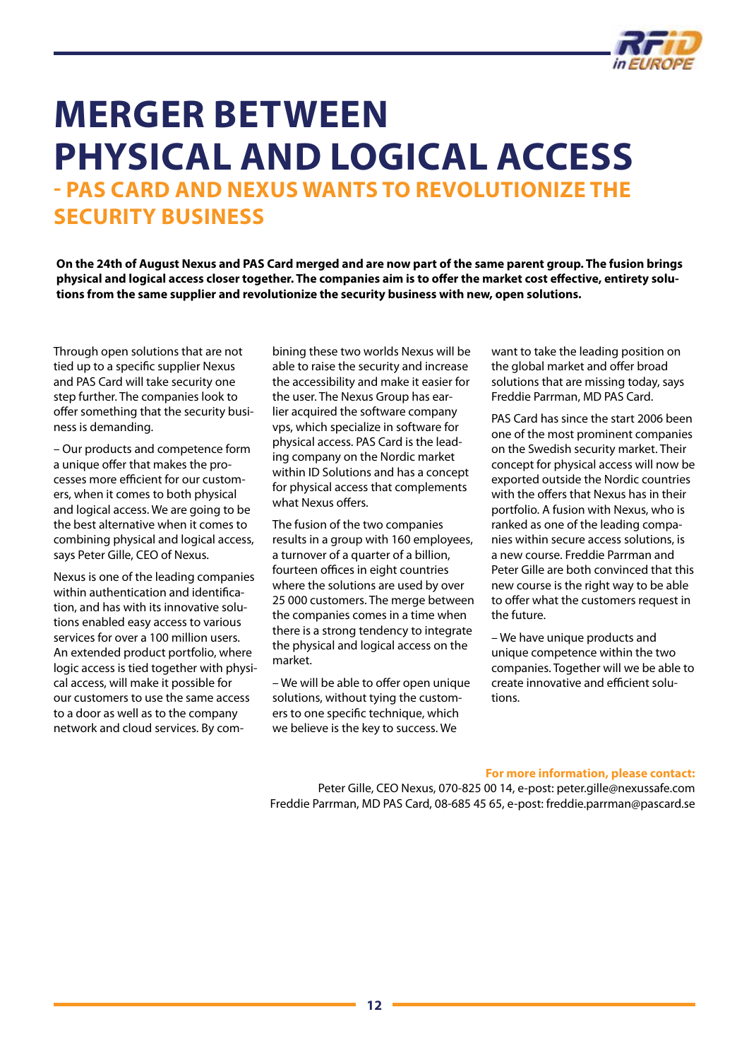

### <span id="page-11-0"></span>**Merger between physical and logical access - PAS Card and Nexus wants to revolutionize the security business**

**On the 24th of August Nexus and PAS Card merged and are now part of the same parent group. The fusion brings physical and logical access closer together. The companies aim is to offer the market cost effective, entirety solutions from the same supplier and revolutionize the security business with new, open solutions.**

Through open solutions that are not tied up to a specific supplier Nexus and PAS Card will take security one step further. The companies look to offer something that the security business is demanding.

– Our products and competence form a unique offer that makes the processes more efficient for our customers, when it comes to both physical and logical access. We are going to be the best alternative when it comes to combining physical and logical access, says Peter Gille, CEO of Nexus.

Nexus is one of the leading companies within authentication and identification, and has with its innovative solutions enabled easy access to various services for over a 100 million users. An extended product portfolio, where logic access is tied together with physical access, will make it possible for our customers to use the same access to a door as well as to the company network and cloud services. By combining these two worlds Nexus will be able to raise the security and increase the accessibility and make it easier for the user. The Nexus Group has earlier acquired the software company vps, which specialize in software for physical access. PAS Card is the leading company on the Nordic market within ID Solutions and has a concept for physical access that complements what Nexus offers.

The fusion of the two companies results in a group with 160 employees, a turnover of a quarter of a billion, fourteen offices in eight countries where the solutions are used by over 25 000 customers. The merge between the companies comes in a time when there is a strong tendency to integrate the physical and logical access on the market.

– We will be able to offer open unique solutions, without tying the customers to one specific technique, which we believe is the key to success. We

want to take the leading position on the global market and offer broad solutions that are missing today, says Freddie Parrman, MD PAS Card.

PAS Card has since the start 2006 been one of the most prominent companies on the Swedish security market. Their concept for physical access will now be exported outside the Nordic countries with the offers that Nexus has in their portfolio. A fusion with Nexus, who is ranked as one of the leading companies within secure access solutions, is a new course. Freddie Parrman and Peter Gille are both convinced that this new course is the right way to be able to offer what the customers request in the future.

– We have unique products and unique competence within the two companies. Together will we be able to create innovative and efficient solutions.

#### **For more information, please contact:**

Peter Gille, CEO Nexus, 070-825 00 14, e-post: [peter.gille@nexussafe.com](mailto:peter.gille@nexussafe.com) Freddie Parrman, MD PAS Card, 08-685 45 65, e-post: [freddie.parrman@pascard.se](mailto:freddie.parrman@pascard.se )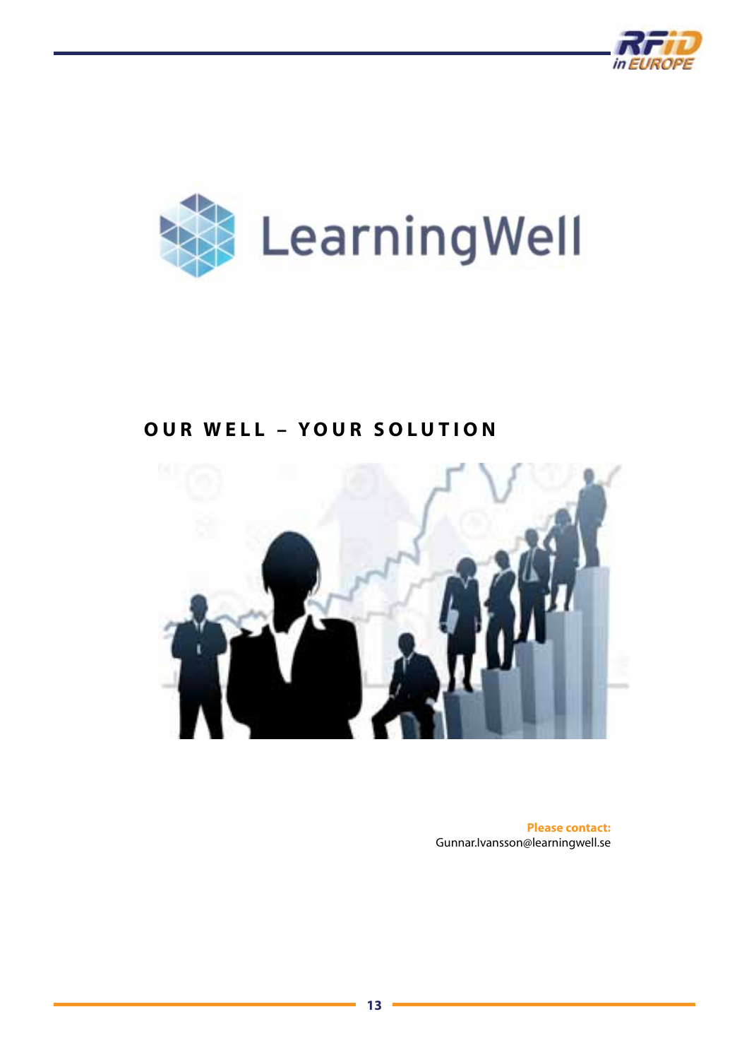



### **OUR WELL – Y OUR SOLUTION**



**Please contact:** [Gunnar.Ivansson@learningwell.se](mailto:Gunnar.Ivansson@learningwell.se)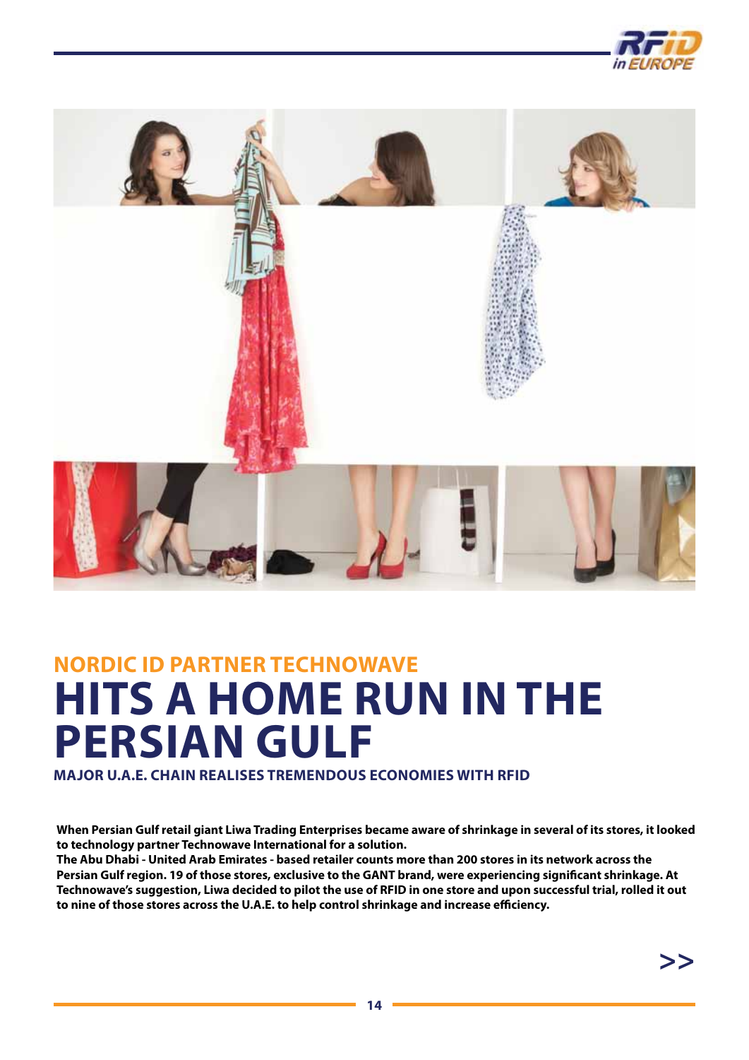



## **NORDIC ID PARTNER Technowave HITS A HOME RUN IN THE PERSIAN GULF**

**Major U.A.E. chain realises tremendous economies with RFID**

**When Persian Gulf retail giant Liwa Trading Enterprises became aware of shrinkage in several of its stores, it looked to technology partner Technowave International for a solution.** 

**The Abu Dhabi - United Arab Emirates - based retailer counts more than 200 stores in its network across the Persian Gulf region. 19 of those stores, exclusive to the GANT brand, were experiencing significant shrinkage. At Technowave's suggestion, Liwa decided to pilot the use of RFID in one store and upon successful trial, rolled it out to nine of those stores across the U.A.E. to help control shrinkage and increase efficiency.**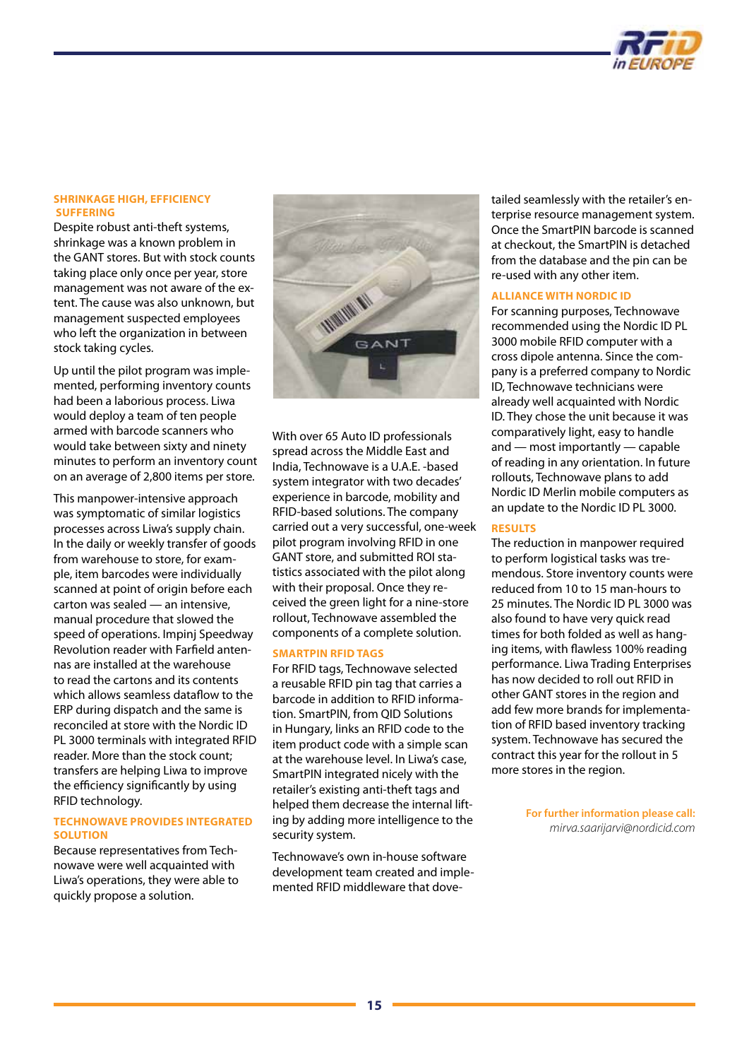

#### **SHRINKAGE HIGH, EFFICIENCY SUFFERING**

Despite robust anti-theft systems, shrinkage was a known problem in the GANT stores. But with stock counts taking place only once per year, store management was not aware of the extent. The cause was also unknown, but management suspected employees who left the organization in between stock taking cycles.

Up until the pilot program was implemented, performing inventory counts had been a laborious process. Liwa would deploy a team of ten people armed with barcode scanners who would take between sixty and ninety minutes to perform an inventory count on an average of 2,800 items per store.

This manpower-intensive approach was symptomatic of similar logistics processes across Liwa's supply chain. In the daily or weekly transfer of goods from warehouse to store, for example, item barcodes were individually scanned at point of origin before each carton was sealed — an intensive, manual procedure that slowed the speed of operations. Impinj Speedway Revolution reader with Farfield antennas are installed at the warehouse to read the cartons and its contents which allows seamless dataflow to the ERP during dispatch and the same is reconciled at store with the Nordic ID PL 3000 terminals with integrated RFID reader. More than the stock count; transfers are helping Liwa to improve the efficiency significantly by using RFID technology.

### **TECHNOWAVE PROVIDES INTEGRATED SOLUTION**

Because representatives from Technowave were well acquainted with Liwa's operations, they were able to quickly propose a solution.



With over 65 Auto ID professionals spread across the Middle East and India, Technowave is a U.A.E. -based system integrator with two decades' experience in barcode, mobility and RFID-based solutions. The company carried out a very successful, one-week pilot program involving RFID in one GANT store, and submitted ROI statistics associated with the pilot along with their proposal. Once they received the green light for a nine-store rollout, Technowave assembled the components of a complete solution.

### **SMARTPIN RFID TAGS**

For RFID tags, Technowave selected a reusable RFID pin tag that carries a barcode in addition to RFID information. SmartPIN, from QID Solutions in Hungary, links an RFID code to the item product code with a simple scan at the warehouse level. In Liwa's case, SmartPIN integrated nicely with the retailer's existing anti-theft tags and helped them decrease the internal lifting by adding more intelligence to the security system.

Technowave's own in-house software development team created and implemented RFID middleware that dovetailed seamlessly with the retailer's enterprise resource management system. Once the SmartPIN barcode is scanned at checkout, the SmartPIN is detached from the database and the pin can be re-used with any other item.

### **ALLIANCE WITH NORDIC ID**

For scanning purposes, Technowave recommended using the Nordic ID PL 3000 mobile RFID computer with a cross dipole antenna. Since the company is a preferred company to Nordic ID, Technowave technicians were already well acquainted with Nordic ID. They chose the unit because it was comparatively light, easy to handle and — most importantly — capable of reading in any orientation. In future rollouts, Technowave plans to add Nordic ID Merlin mobile computers as an update to the Nordic ID PL 3000.

### **RESULTS**

The reduction in manpower required to perform logistical tasks was tremendous. Store inventory counts were reduced from 10 to 15 man-hours to 25 minutes. The Nordic ID PL 3000 was also found to have very quick read times for both folded as well as hanging items, with flawless 100% reading performance. Liwa Trading Enterprises has now decided to roll out RFID in other GANT stores in the region and add few more brands for implementation of RFID based inventory tracking system. Technowave has secured the contract this year for the rollout in 5 more stores in the region.

> **For further information please call:** *[mirva.saarijarvi@nordicid.com](mailto:mirva.saarijarvi@nordicid.com)*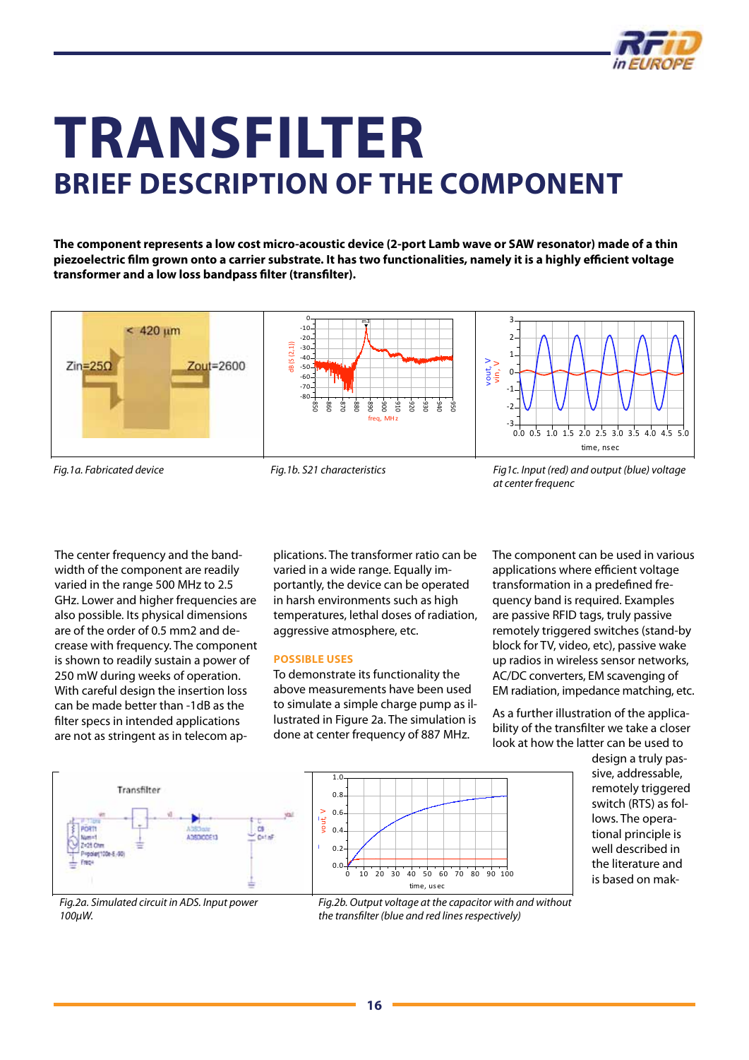

### <span id="page-15-0"></span>**Transfilter BRIEF DESCRIPTION OF THE COMPONENT Transfilter**

The component represents a low cost micro-acoustic device (2-port Lamb wave or SAW resonator) made of a thin piezoelectric film grown onto a carrier substrate. It has two functionalities, namely it is a highly efficient voltage<br>. transformer and a low loss bandpass filter (transfilter).<br>*has two functionalities* 



*Fig.1a. Fabricated device*

*Fig.1b. S21 characteristics*

*(blue) voltage at center at center frequenc*

The center frequency and the bandvaried in the range 500 MHz to 2.5 also possible. Its physical dimensions crease with frequency. The component **interest are not as in telecom** and applications are all the block for TV, video, etc. is shown to readily sustain a power of 250 mW during weeks of operation. **Possible uses** With careful design the insertion loss can be made better than -1dB as the distinct to simulate filter specs in intended applications are not as stringent as in telecom aps shown to readily sustain a power of the variable uses the transformer wide radios in wireless sensor netword<br>50 mW during weeks of operation. To demonstrate its functionality the the AC/DC converters, EM scavenging i Example the contract of the control of the control of the control of triggered switches (stand-by triggered switches (stand-by triggered stand-by triggered stand-by triggered stand-by the component and the band-<br>
By the c

The center frequency and the band-computations. The transformer ratio can be are component can be used<br>width of the component are readily waried in a wide range. Equally im-compolications where efficient For the range 500 mm/2 to 2.50 mm/2 to 2.50 mm/2 to 2.50 mm/2 to 2.50 mm/2 to 2.50 mm/2 to 2.50 mm/2 to 250 mm/2 to 250 mm/2 to 2.50 mm/2 to 2.60 mm/2 to 2.50 mm/2 to 2.50 mm/2 to 2.60 mm/2 to 2.60 mm/2 to 2.60 mm/2 to 2.6 are of the order of 0.5 mm2 and de-<br>aggressive atmosphere, etc. plications. The transformer ratio can be varied in a wide range. Equally imphical dimensions with the component are readily and the video in a wide range. Equally infigure than applications where emclem voit arised in the range 500 MHz to 2.5 and portantly, the device can be operated transformati in harsh environments such as high Iso possible. Its physical dimensions temperatures, lethal doses of radiation, are passive aggressive atmosphere, etc. remotely triggered switches (stand-by competitions) and temperatures, lettial upses of fundation, that engine in D tugs, that y pussive<br>In the order of 0.5 mm2 and de- aggressive atmosphere, etc. The remotely triggered swi The center frequency and the bandwidth of the component are readily varied in the physical dimensions are of the order of 0.5 mm2 and decrease with frequency. The

### **Possible uses**

0.6 0.8

1.0

above meaning or the one-perthern<br>With careful design the insertion loss above measurements have been used and EM radiation, impedance to simulate a simple charge pump as ilan be made better than - Tob as the to demonstrate a simple enarge pamp as in the As a further in the above me<br>Ilter specs in intended applications bustrated in Figure 2a. The simulation is the status of the s done at center at center at the simulation is<br>a simulation of the simulation is done at center frequency of 887 MHz.

The component can be used in various applications where efficient voltage transformation in a predefined frequency band is required. Examples are passive RFID tags, truly passive block for TV, video, etc), passive wake up radios in wireless sensor networks, AC/DC converters, EM scavenging of EM radiation, impedance matching, etc.

As a further illustration of the applicability of the transfilter we take a closer look at how the latter can be used to





*Fig.2a. Simulated circuit in ADS. Input power Fig.2a. Simulated circuit in ADS. Input power 100*µ*W. 100μW.*



the transfilter (blue and red lines respectively)<br> *x* 0.8 *Fig.2b. Output voltage at the capacitor with and Fig.2b. Output voltage at the capacitor with and without* 

time, 
 usec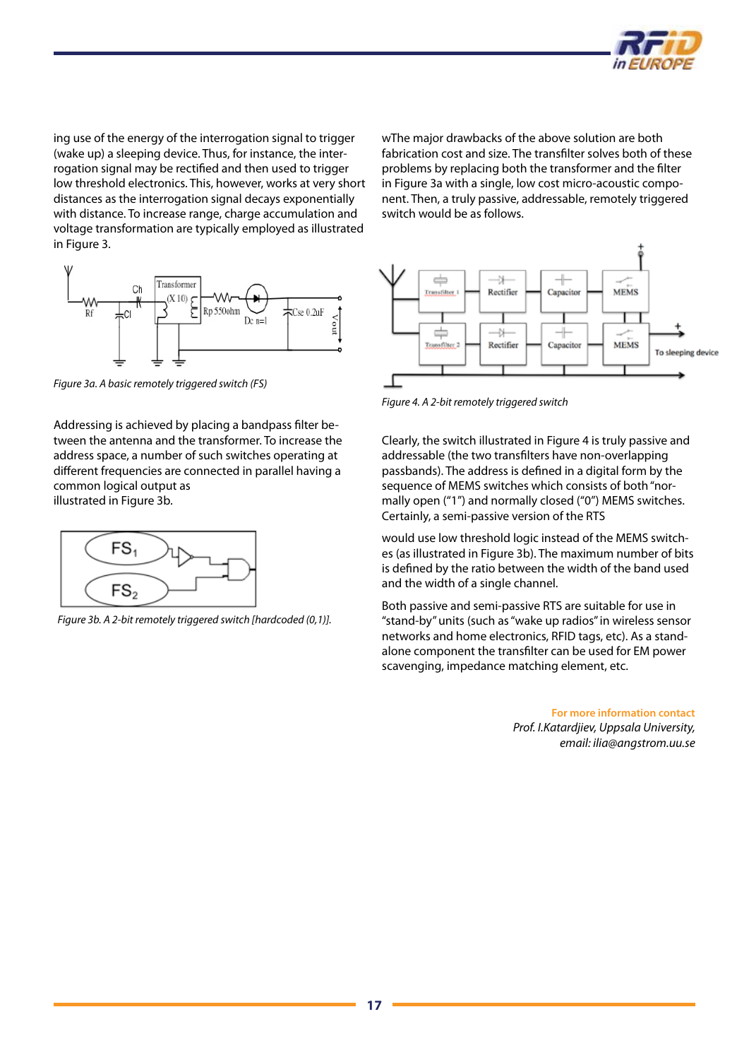

ing use of the energy of the interrogation signal to trigger (wake up) a sleeping device. Thus, for instance, the interrogation signal may be rectified and then used to trigger low threshold electronics. This, however, works at very short distances as the interrogation signal decays exponentially with distance. To increase range, charge accumulation and voltage transformation are typically employed as illustrated in Figure 3.

wThe major drawbacks of the above solution are both fabrication cost and size. The transfilter solves both of these problems by replacing both the transformer and the filter in Figure 3a with a single, low cost micro-acoustic component. Then, a truly passive, addressable, remotely triggered switch would be as follows.



*Figure 3a. A basic remotely triggered switch (FS)*

Addressing is achieved by placing a bandpass filter between the antenna and the transformer. To increase the address space, a number of such switches operating at different frequencies are connected in parallel having a common logical output as illustrated in Figure 3b.



*Figure 3b. A 2-bit remotely triggered switch [hardcoded (0,1)].*



*Figure 4. A 2-bit remotely triggered switch*

Clearly, the switch illustrated in Figure 4 is truly passive and addressable (the two transfilters have non-overlapping passbands). The address is defined in a digital form by the sequence of MEMS switches which consists of both "normally open ("1") and normally closed ("0") MEMS switches. Certainly, a semi-passive version of the RTS

would use low threshold logic instead of the MEMS switches (as illustrated in Figure 3b). The maximum number of bits is defined by the ratio between the width of the band used and the width of a single channel.

Both passive and semi-passive RTS are suitable for use in "stand-by" units (such as "wake up radios" in wireless sensor networks and home electronics, RFID tags, etc). As a standalone component the transfilter can be used for EM power scavenging, impedance matching element, etc.

> **For more information contact**  *Prof. I.Katardjiev, Uppsala University, email: [ilia@angstrom.uu.se](mailto:ilia@angstrom.uu.se)*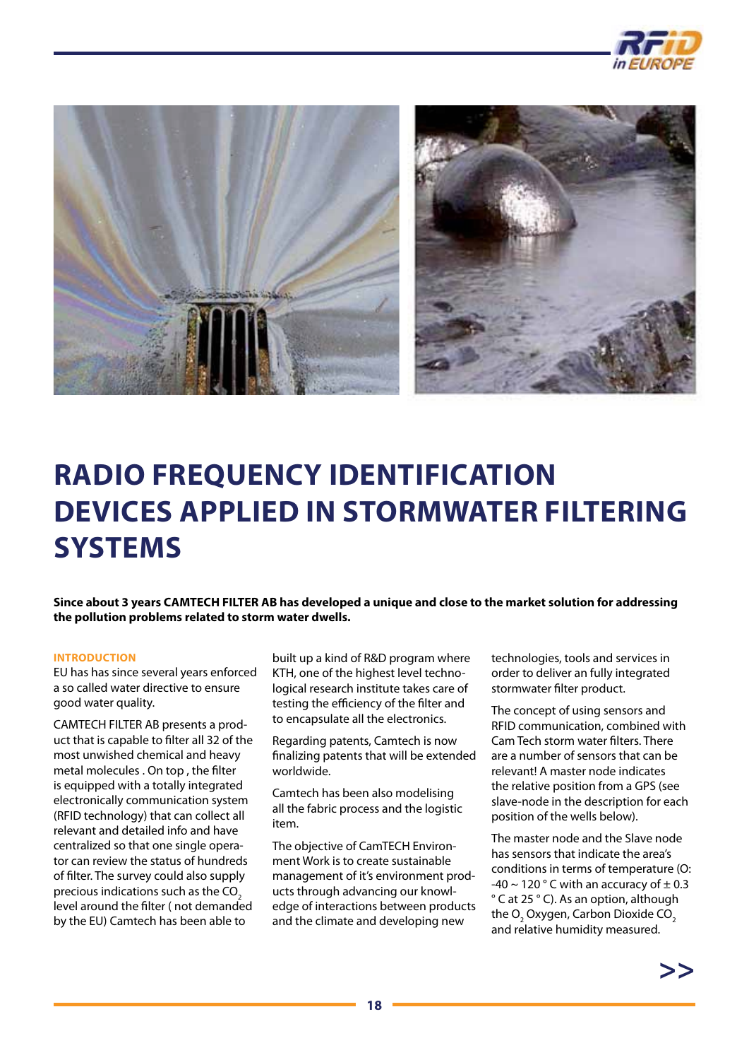

<span id="page-17-0"></span>

### **Radio Frequency Identification Devices Applied in stormwater filtering Systems**

**Since about 3 years CAMTECH FILTER AB has developed a unique and close to the market solution for addressing the pollution problems related to storm water dwells.**

#### **INTRODUCTION**

EU has has since several years enforced a so called water directive to ensure good water quality.

CAMTECH FILTER AB presents a product that is capable to filter all 32 of the most unwished chemical and heavy metal molecules . On top , the filter is equipped with a totally integrated electronically communication system (RFID technology) that can collect all relevant and detailed info and have centralized so that one single operator can review the status of hundreds of filter. The survey could also supply precious indications such as the  $CO<sub>2</sub>$ level around the filter ( not demanded by the EU) Camtech has been able to

built up a kind of R&D program where KTH, one of the highest level technological research institute takes care of testing the efficiency of the filter and to encapsulate all the electronics.

Regarding patents, Camtech is now finalizing patents that will be extended worldwide.

Camtech has been also modelising all the fabric process and the logistic item.

The objective of CamTECH Environment Work is to create sustainable management of it's environment products through advancing our knowledge of interactions between products and the climate and developing new

technologies, tools and services in order to deliver an fully integrated stormwater filter product.

The concept of using sensors and RFID communication, combined with Cam Tech storm water filters. There are a number of sensors that can be relevant! A master node indicates the relative position from a GPS (see slave-node in the description for each position of the wells below).

The master node and the Slave node has sensors that indicate the area's conditions in terms of temperature (O: -40  $\sim$  120 ° C with an accuracy of  $\pm$  0.3 ° C at 25 ° C). As an option, although the  $\mathrm{O}_2$  Oxygen, Carbon Dioxide CO $_2$ and relative humidity measured.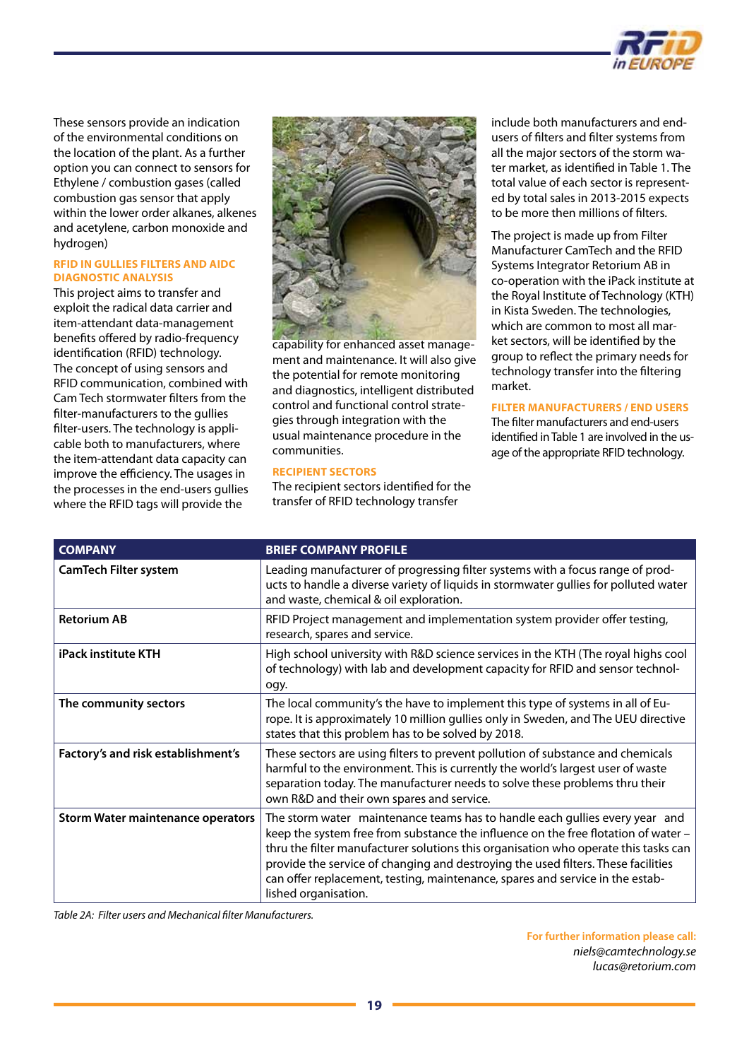

These sensors provide an indication of the environmental conditions on the location of the plant. As a further option you can connect to sensors for Ethylene / combustion gases (called combustion gas sensor that apply within the lower order alkanes, alkenes and acetylene, carbon monoxide and hydrogen)

### **RFID in gullies filters and AIDC diagnostic analysis**

This project aims to transfer and exploit the radical data carrier and item-attendant data-management benefits offered by radio-frequency identification (RFID) technology. The concept of using sensors and RFID communication, combined with Cam Tech stormwater filters from the filter-manufacturers to the gullies filter-users. The technology is applicable both to manufacturers, where the item-attendant data capacity can improve the efficiency. The usages in the processes in the end-users gullies where the RFID tags will provide the



capability for enhanced asset management and maintenance. It will also give the potential for remote monitoring and diagnostics, intelligent distributed control and functional control strategies through integration with the usual maintenance procedure in the communities.

### **Recipient Sectors**

The recipient sectors identified for the transfer of RFID technology transfer

include both manufacturers and endusers of filters and filter systems from all the major sectors of the storm water market, as identified in Table 1. The total value of each sector is represented by total sales in 2013-2015 expects to be more then millions of filters.

The project is made up from Filter Manufacturer CamTech and the RFID Systems Integrator Retorium AB in co-operation with the iPack institute at the Royal Institute of Technology (KTH) in Kista Sweden. The technologies, which are common to most all market sectors, will be identified by the group to reflect the primary needs for technology transfer into the filtering market.

### **Filter Manufacturers / End Users**

The filter manufacturers and end-users identified in Table 1 are involved in the usage of the appropriate RFID technology.

| <b>COMPANY</b>                           | <b>BRIEF COMPANY PROFILE</b>                                                                                                                                                                                                                                                                                                                                                                                                                           |
|------------------------------------------|--------------------------------------------------------------------------------------------------------------------------------------------------------------------------------------------------------------------------------------------------------------------------------------------------------------------------------------------------------------------------------------------------------------------------------------------------------|
| <b>CamTech Filter system</b>             | Leading manufacturer of progressing filter systems with a focus range of prod-<br>ucts to handle a diverse variety of liquids in stormwater gullies for polluted water<br>and waste, chemical & oil exploration.                                                                                                                                                                                                                                       |
| <b>Retorium AB</b>                       | RFID Project management and implementation system provider offer testing,<br>research, spares and service.                                                                                                                                                                                                                                                                                                                                             |
| <b>iPack institute KTH</b>               | High school university with R&D science services in the KTH (The royal highs cool<br>of technology) with lab and development capacity for RFID and sensor technol-<br>ogy.                                                                                                                                                                                                                                                                             |
| The community sectors                    | The local community's the have to implement this type of systems in all of Eu-<br>rope. It is approximately 10 million gullies only in Sweden, and The UEU directive<br>states that this problem has to be solved by 2018.                                                                                                                                                                                                                             |
| Factory's and risk establishment's       | These sectors are using filters to prevent pollution of substance and chemicals<br>harmful to the environment. This is currently the world's largest user of waste<br>separation today. The manufacturer needs to solve these problems thru their<br>own R&D and their own spares and service.                                                                                                                                                         |
| <b>Storm Water maintenance operators</b> | The storm water maintenance teams has to handle each gullies every year and<br>keep the system free from substance the influence on the free flotation of water -<br>thru the filter manufacturer solutions this organisation who operate this tasks can<br>provide the service of changing and destroying the used filters. These facilities<br>can offer replacement, testing, maintenance, spares and service in the estab-<br>lished organisation. |

*Table 2A: Filter users and Mechanical filter Manufacturers.*

**For further information please call:**  *[niels@camtechnology.se](mailto:niels@camtechnology.se) [lucas@retorium.com](mailto:lucas@retorium.com)*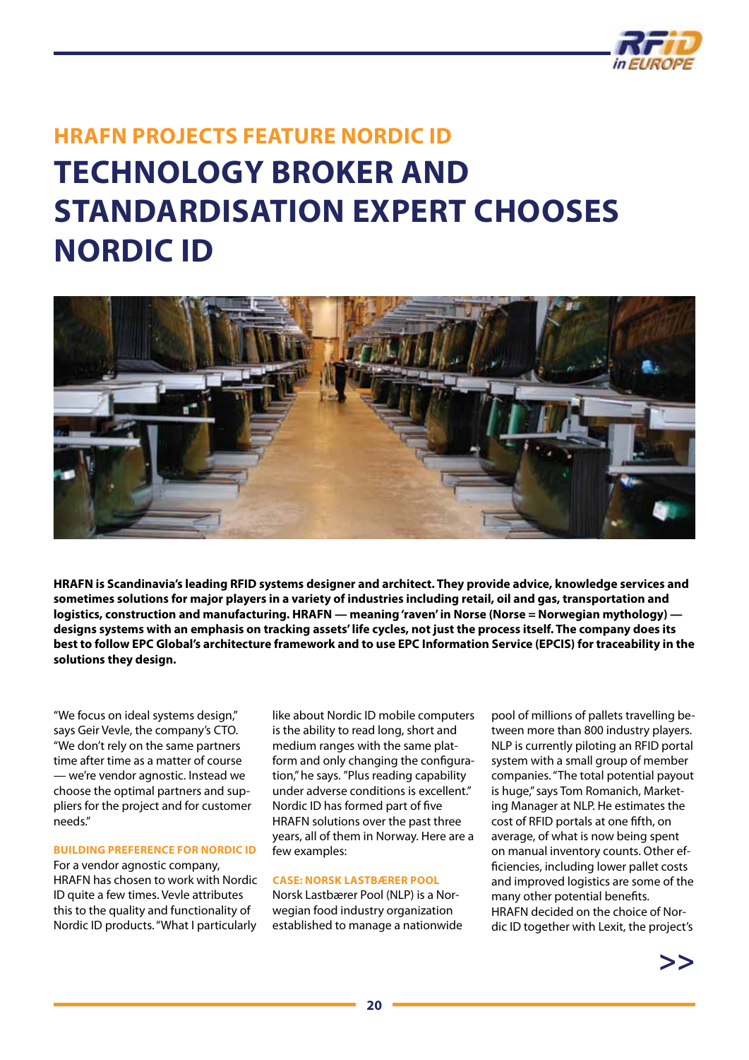

### <span id="page-19-0"></span>**HRAFN PROJECTS FEATURE NORDIC ID TECHNOLOGY BROKER AND STANDARDISATION EXPERT CHOOSES NORDIC ID**



**HRAFN is Scandinavia's leading RFID systems designer and architect. They provide advice, knowledge services and sometimes solutions for major players in a variety of industries including retail, oil and gas, transportation and logistics, construction and manufacturing. HRAFN — meaning 'raven' in Norse (Norse = Norwegian mythology) designs systems with an emphasis on tracking assets' life cycles, not just the process itself. The company does its best to follow EPC Global's architecture framework and to use EPC Information Service (EPCIS) for traceability in the solutions they design.**

"We focus on ideal systems design," says Geir Vevle, the company's CTO. "We don't rely on the same partners time after time as a matter of course — we're vendor agnostic. Instead we choose the optimal partners and suppliers for the project and for customer needs."

### **BUILDING PREFERENCE FOR NORDIC ID**

For a vendor agnostic company, HRAFN has chosen to work with Nordic ID quite a few times. Vevle attributes this to the quality and functionality of Nordic ID products. "What I particularly

like about Nordic ID mobile computers is the ability to read long, short and medium ranges with the same platform and only changing the configuration," he says. "Plus reading capability under adverse conditions is excellent." Nordic ID has formed part of five HRAFN solutions over the past three years, all of them in Norway. Here are a few examples:

### **CASE: NORSK LASTBÆRER POOL**

Norsk Lastbærer Pool (NLP) is a Norwegian food industry organization established to manage a nationwide pool of millions of pallets travelling between more than 800 industry players. NLP is currently piloting an RFID portal system with a small group of member companies. "The total potential payout is huge," says Tom Romanich, Marketing Manager at NLP. He estimates the cost of RFID portals at one fifth, on average, of what is now being spent on manual inventory counts. Other efficiencies, including lower pallet costs and improved logistics are some of the many other potential benefits. HRAFN decided on the choice of Nordic ID together with Lexit, the project's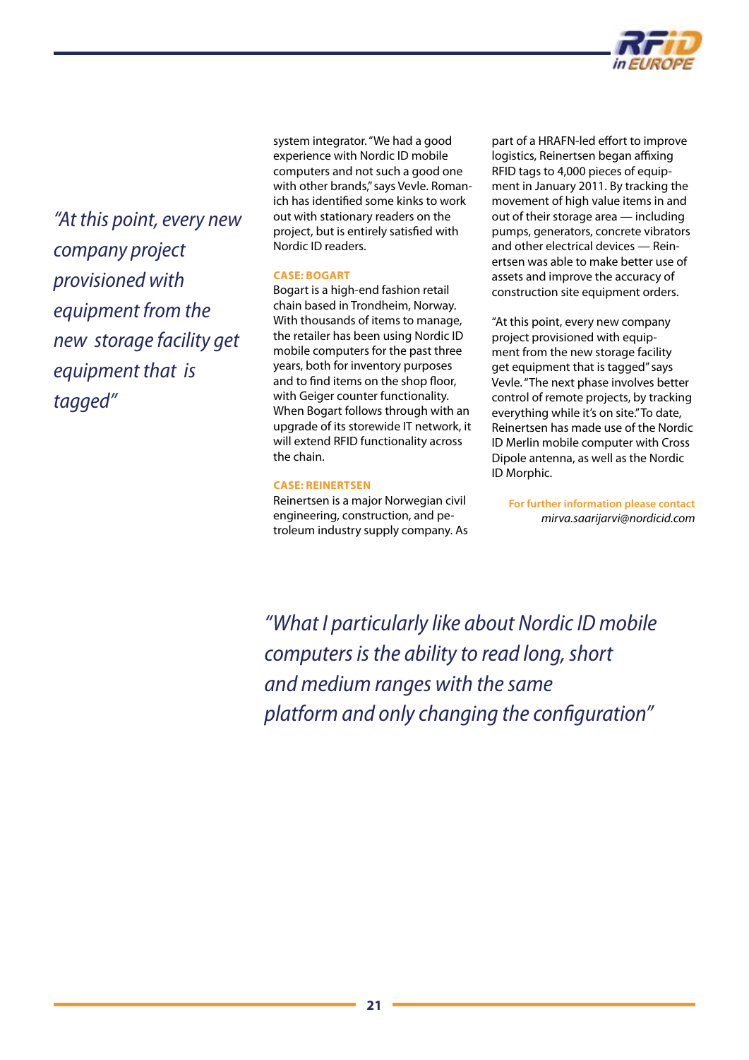

*"At this point, every new company project provisioned with equipment from the new storage facility get equipment that is tagged"*

system integrator. "We had a good experience with Nordic ID mobile computers and not such a good one with other brands," says Vevle. Romanich has identified some kinks to work out with stationary readers on the project, but is entirely satisfied with Nordic ID readers.

### **CASE: BOGART**

Bogart is a high-end fashion retail chain based in Trondheim, Norway. With thousands of items to manage, the retailer has been using Nordic ID mobile computers for the past three years, both for inventory purposes and to find items on the shop floor, with Geiger counter functionality. When Bogart follows through with an upgrade of its storewide IT network, it will extend RFID functionality across the chain.

### **CASE: REINERTSEN**

Reinertsen is a major Norwegian civil engineering, construction, and petroleum industry supply company. As part of a HRAFN-led effort to improve logistics, Reinertsen began affixing RFID tags to 4,000 pieces of equipment in January 2011. By tracking the movement of high value items in and out of their storage area — including pumps, generators, concrete vibrators and other electrical devices — Reinertsen was able to make better use of assets and improve the accuracy of construction site equipment orders.

"At this point, every new company project provisioned with equipment from the new storage facility get equipment that is tagged" says Vevle. "The next phase involves better control of remote projects, by tracking everything while it's on site." To date, Reinertsen has made use of the Nordic ID Merlin mobile computer with Cross Dipole antenna, as well as the Nordic ID Morphic.

**For further information please contact**  *[mirva.saarijarvi@nordicid.com](mailto:mirva.saarijarvi@nordicid.com)*

*"What I particularly like about Nordic ID mobile computers is the ability to read long, short and medium ranges with the same platform and only changing the configuration"*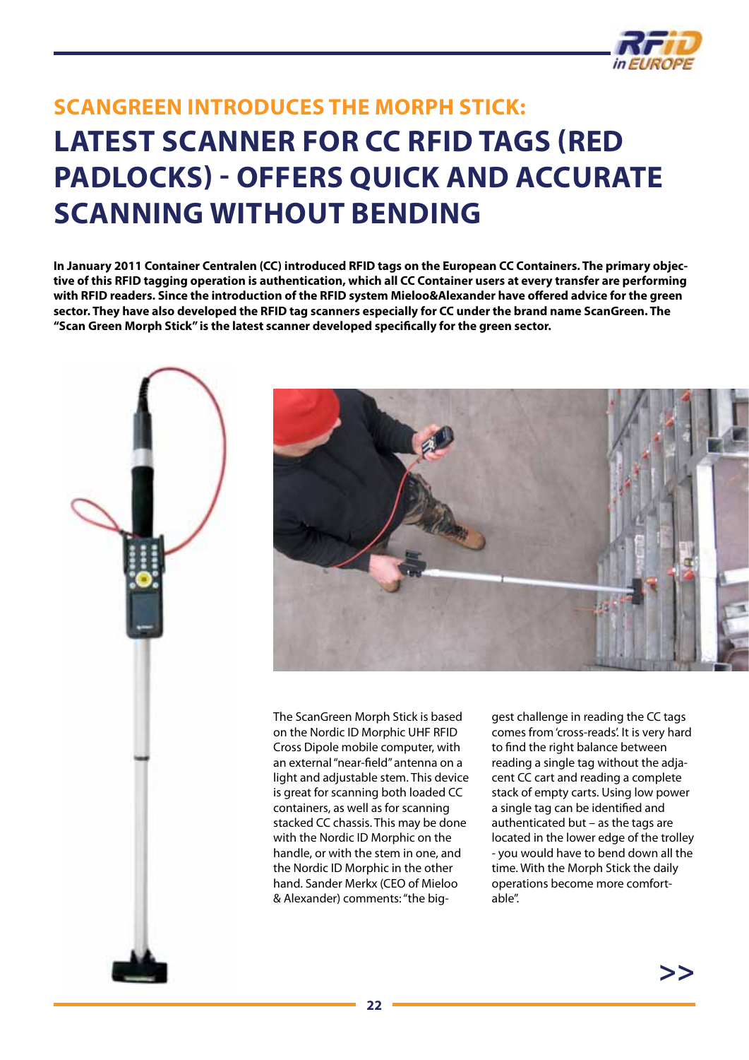

### <span id="page-21-0"></span>**ScanGreen introduces the Morph Stick: latest scanner for CC RFID tags (red padlocks) - offers quick and accurate scanning without bending**

**In January 2011 Container Centralen (CC) introduced RFID tags on the European CC Containers. The primary objective of this RFID tagging operation is authentication, which all CC Container users at every transfer are performing with RFID readers. Since the introduction of the RFID system Mieloo&Alexander have offered advice for the green sector. They have also developed the RFID tag scanners especially for CC under the brand name ScanGreen. The "Scan Green Morph Stick" is the latest scanner developed specifically for the green sector.**





The ScanGreen Morph Stick is based on the Nordic ID Morphic UHF RFID Cross Dipole mobile computer, with an external "near-field" antenna on a light and adjustable stem. This device is great for scanning both loaded CC containers, as well as for scanning stacked CC chassis. This may be done with the Nordic ID Morphic on the handle, or with the stem in one, and the Nordic ID Morphic in the other hand. Sander Merkx (CEO of Mieloo & Alexander) comments: "the biggest challenge in reading the CC tags comes from 'cross-reads'. It is very hard to find the right balance between reading a single tag without the adjacent CC cart and reading a complete stack of empty carts. Using low power a single tag can be identified and authenticated but – as the tags are located in the lower edge of the trolley - you would have to bend down all the time. With the Morph Stick the daily operations become more comfortable".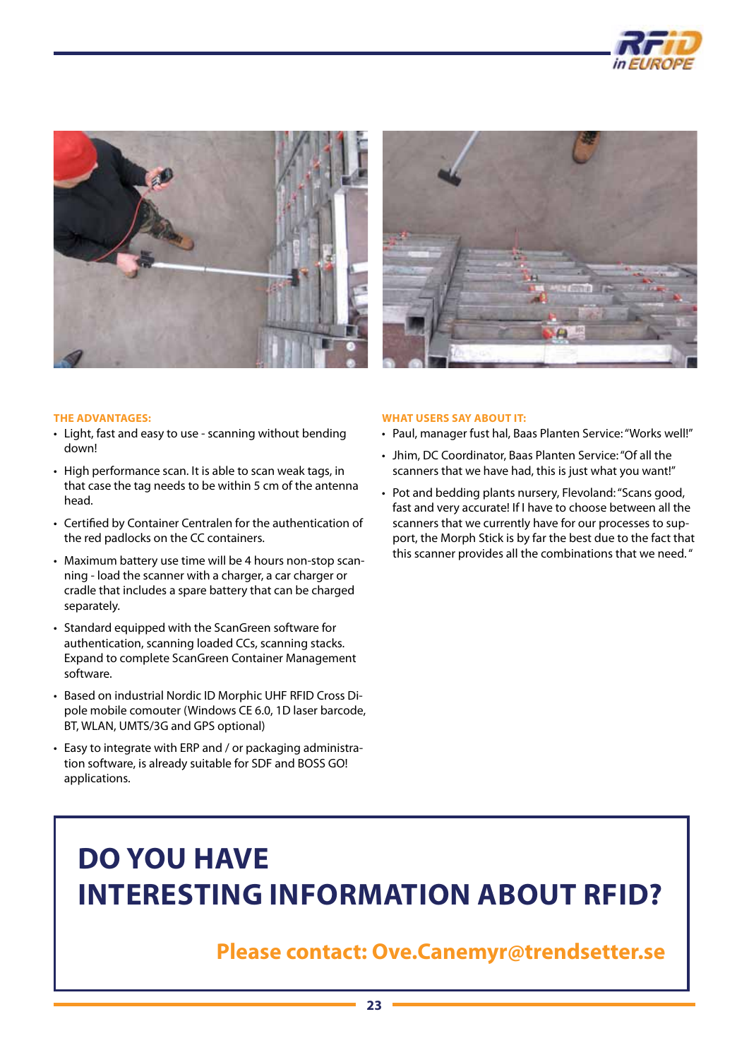





#### **The advantages:**

- • Light, fast and easy to use scanning without bending down!
- High performance scan. It is able to scan weak tags, in that case the tag needs to be within 5 cm of the antenna head.
- Certified by Container Centralen for the authentication of the red padlocks on the CC containers.
- Maximum battery use time will be 4 hours non-stop scanning - load the scanner with a charger, a car charger or cradle that includes a spare battery that can be charged separately.
- Standard equipped with the ScanGreen software for authentication, scanning loaded CCs, scanning stacks. Expand to complete ScanGreen Container Management software.
- Based on industrial Nordic ID Morphic UHF RFID Cross Dipole mobile comouter (Windows CE 6.0, 1D laser barcode, BT, WLAN, UMTS/3G and GPS optional)
- Easy to integrate with ERP and / or packaging administration software, is already suitable for SDF and BOSS GO! applications.

#### **What users say about it:**

- • Paul, manager fust hal, Baas Planten Service: "Works well!"
- • Jhim, DC Coordinator, Baas Planten Service: "Of all the scanners that we have had, this is just what you want!"
- Pot and bedding plants nursery, Flevoland: "Scans good, fast and very accurate! If I have to choose between all the scanners that we currently have for our processes to support, the Morph Stick is by far the best due to the fact that this scanner provides all the combinations that we need. "

### **Do you have interesting information about RFID?**

### **Please contact: [Ove.Canemyr@trendsetter.se](mailto:ove.canemyr@trendsetter.se)**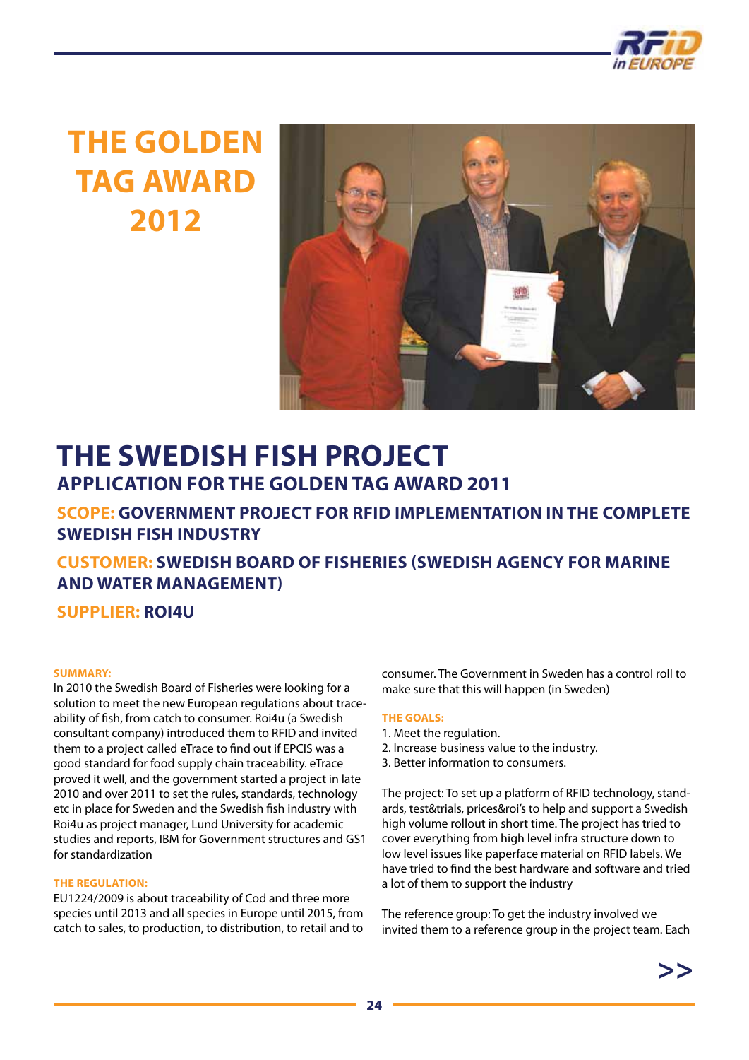

### **THE GOLDEN TAG AWARD 2012**



### **The swedish fish project Application for the Golden Tag award 2011**

### **Scope: Government project for RFID implementation in the complete swedish fish industry**

**Customer: Swedish Board of Fisheries (Swedish Agency for Marine and Water Management)**

**Supplier: Roi4u**

### **Summary:**

In 2010 the Swedish Board of Fisheries were looking for a solution to meet the new European regulations about traceability of fish, from catch to consumer. Roi4u (a Swedish consultant company) introduced them to RFID and invited them to a project called eTrace to find out if EPCIS was a good standard for food supply chain traceability. eTrace proved it well, and the government started a project in late 2010 and over 2011 to set the rules, standards, technology etc in place for Sweden and the Swedish fish industry with Roi4u as project manager, Lund University for academic studies and reports, IBM for Government structures and GS1 for standardization

### **The regulation:**

EU1224/2009 is about traceability of Cod and three more species until 2013 and all species in Europe until 2015, from catch to sales, to production, to distribution, to retail and to

consumer. The Government in Sweden has a control roll to make sure that this will happen (in Sweden)

### **The goals:**

- 1. Meet the regulation.
- 2. Increase business value to the industry.
- 3. Better information to consumers.

The project: To set up a platform of RFID technology, standards, test&trials, prices&roi's to help and support a Swedish high volume rollout in short time. The project has tried to cover everything from high level infra structure down to low level issues like paperface material on RFID labels. We have tried to find the best hardware and software and tried a lot of them to support the industry

The reference group: To get the industry involved we invited them to a reference group in the project team. Each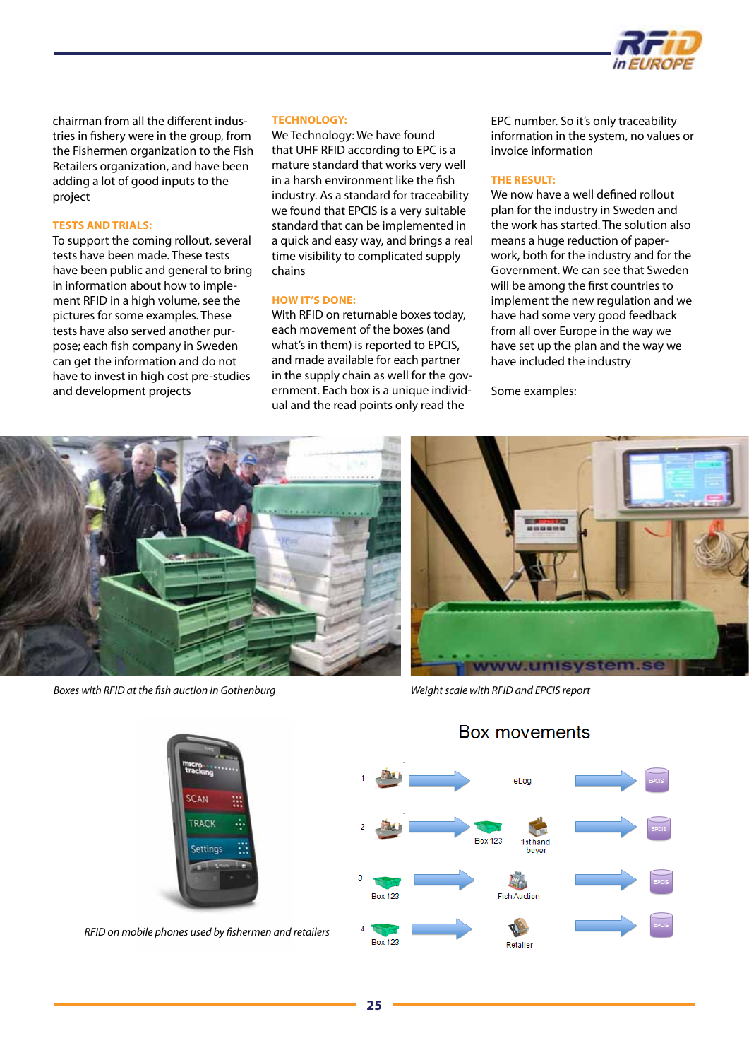

chairman from all the different industries in fishery were in the group, from the Fishermen organization to the Fish Retailers organization, and have been adding a lot of good inputs to the project

#### **Tests and trials:**

To support the coming rollout, several tests have been made. These tests have been public and general to bring in information about how to implement RFID in a high volume, see the pictures for some examples. These tests have also served another purpose; each fish company in Sweden can get the information and do not have to invest in high cost pre-studies and development projects

#### **Technology:**

We Technology: We have found that UHF RFID according to EPC is a mature standard that works very well in a harsh environment like the fish industry. As a standard for traceability we found that EPCIS is a very suitable standard that can be implemented in a quick and easy way, and brings a real time visibility to complicated supply chains

#### **HOW IT'S DONE:**

With RFID on returnable boxes today, each movement of the boxes (and what's in them) is reported to EPCIS, and made available for each partner in the supply chain as well for the government. Each box is a unique individual and the read points only read the

EPC number. So it's only traceability information in the system, no values or invoice information

#### **The result:**

We now have a well defined rollout plan for the industry in Sweden and the work has started. The solution also means a huge reduction of paperwork, both for the industry and for the Government. We can see that Sweden will be among the first countries to implement the new regulation and we have had some very good feedback from all over Europe in the way we have set up the plan and the way we have included the industry

Some examples:



*Boxes with RFID at the fish auction in Gothenburg Weight scale with RFID and EPCIS report*





*RFID on mobile phones used by fishermen and retailers*

Box movements



### **25**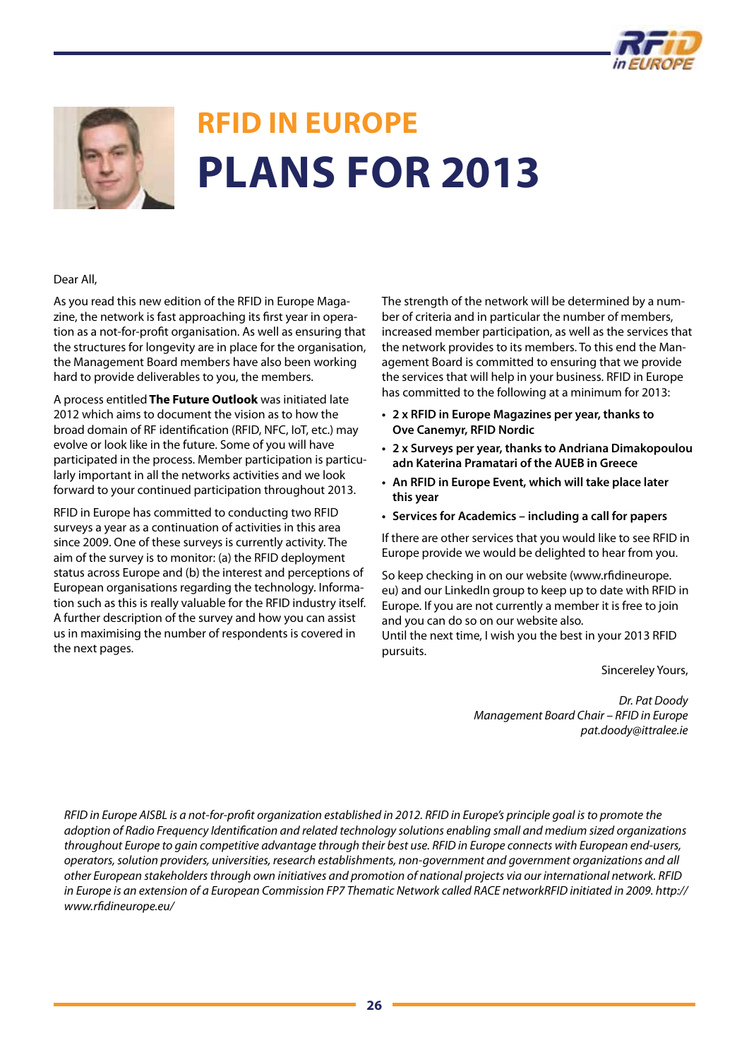



## **RFID in Europe Plans for 2013**

### Dear All,

As you read this new edition of the RFID in Europe Magazine, the network is fast approaching its first year in operation as a not-for-profit organisation. As well as ensuring that the structures for longevity are in place for the organisation, the Management Board members have also been working hard to provide deliverables to you, the members.

A process entitled **The Future Outlook** was initiated late 2012 which aims to document the vision as to how the broad domain of RF identification (RFID, NFC, IoT, etc.) may evolve or look like in the future. Some of you will have participated in the process. Member participation is particularly important in all the networks activities and we look forward to your continued participation throughout 2013.

RFID in Europe has committed to conducting two RFID surveys a year as a continuation of activities in this area since 2009. One of these surveys is currently activity. The aim of the survey is to monitor: (a) the RFID deployment status across Europe and (b) the interest and perceptions of European organisations regarding the technology. Information such as this is really valuable for the RFID industry itself. A further description of the survey and how you can assist us in maximising the number of respondents is covered in the next pages.

The strength of the network will be determined by a number of criteria and in particular the number of members, increased member participation, as well as the services that the network provides to its members. To this end the Management Board is committed to ensuring that we provide the services that will help in your business. RFID in Europe has committed to the following at a minimum for 2013:

- **• 2 x RFID in Europe Magazines per year, thanks to Ove Canemyr, RFID Nordic**
- **• 2 x Surveys per year, thanks to Andriana Dimakopoulou adn Katerina Pramatari of the AUEB in Greece**
- **• An RFID in Europe Event, which will take place later this year**
- **• Services for Academics including a call for papers**

If there are other services that you would like to see RFID in Europe provide we would be delighted to hear from you.

So keep checking in on our website (www.rfidineurope. eu) and our LinkedIn group to keep up to date with RFID in Europe. If you are not currently a member it is free to join and you can do so on our website also. Until the next time, I wish you the best in your 2013 RFID pursuits.

Sincereley Yours,

*Dr. Pat Doody Management Board Chair – RFID in Europe pat.doody@ittralee.ie*

*RFID in Europe AISBL is a not-for-profit organization established in 2012. RFID in Europe's principle goal is to promote the adoption of Radio Frequency Identification and related technology solutions enabling small and medium sized organizations throughout Europe to gain competitive advantage through their best use. RFID in Europe connects with European end-users, operators, solution providers, universities, research establishments, non-government and government organizations and all other European stakeholders through own initiatives and promotion of national projects via our international network. RFID in Europe is an extension of a European Commission FP7 Thematic Network called RACE networkRFID initiated in 2009. [http://](http://www.rfidineurope.eu/) [www.rfidineurope.eu/](http://www.rfidineurope.eu/)*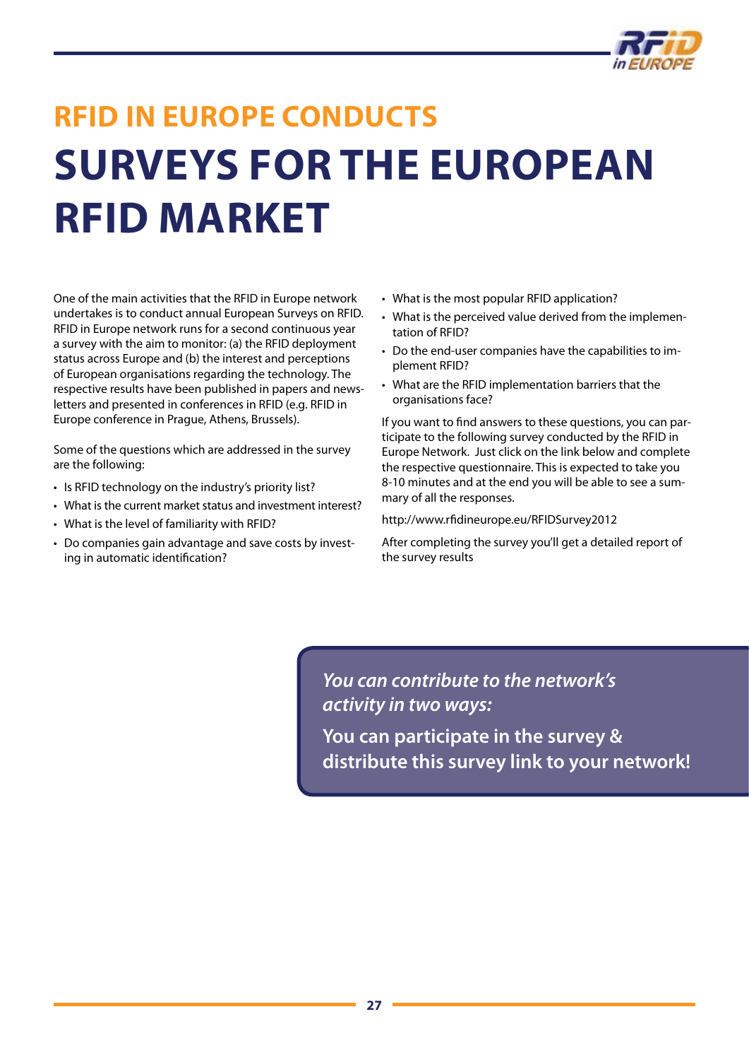

## **RFID in Europe conducts surveys for the European RFID market**

One of the main activities that the RFID in Europe network undertakes is to conduct annual European Surveys on RFID. RFID in Europe network runs for a second continuous year a survey with the aim to monitor: (a) the RFID deployment status across Europe and (b) the interest and perceptions of European organisations regarding the technology. The respective results have been published in papers and newsletters and presented in conferences in RFID (e.g. RFID in Europe conference in Prague, Athens, Brussels).

Some of the questions which are addressed in the survey are the following:

- Is RFID technology on the industry's priority list?
- What is the current market status and investment interest?
- What is the level of familiarity with RFID?
- Do companies gain advantage and save costs by investing in automatic identification?
- What is the most popular RFID application?
- What is the perceived value derived from the implementation of RFID?
- Do the end-user companies have the capabilities to implement RFID?
- • What are the RFID implementation barriers that the organisations face?

If you want to find answers to these questions, you can participate to the following survey conducted by the RFID in Europe Network. Just click on the link below and complete the respective questionnaire. This is expected to take you 8-10 minutes and at the end you will be able to see a summary of all the responses.

<http://www.rfidineurope.eu/RFIDSurvey2012>

After completing the survey you'll get a detailed report of the survey results

*You can contribute to the network's activity in two ways:*

**You can participate in the survey & distribute this survey link to your network!**